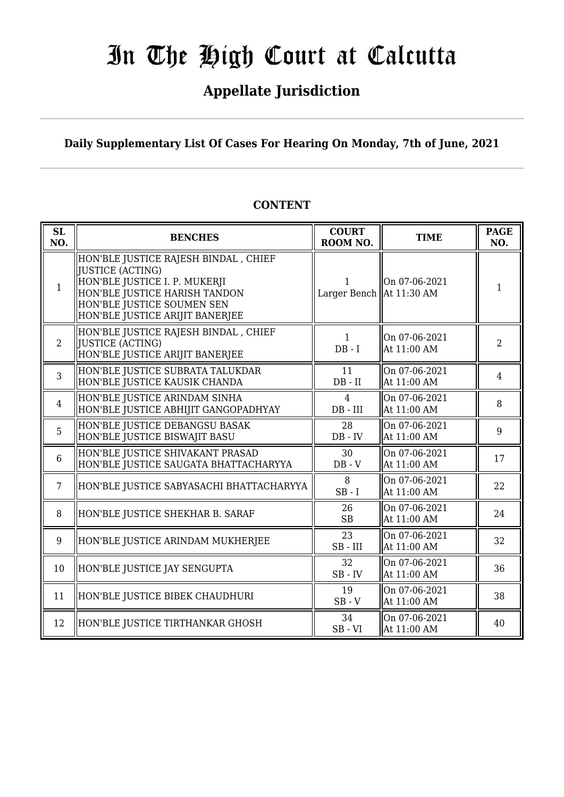### **Appellate Jurisdiction**

**Daily Supplementary List Of Cases For Hearing On Monday, 7th of June, 2021**

### **CONTENT**

| SL<br>NO.       | <b>BENCHES</b>                                                                                                                                                                               | <b>COURT</b><br>ROOM NO.      | <b>TIME</b>                  | <b>PAGE</b><br>NO. |
|-----------------|----------------------------------------------------------------------------------------------------------------------------------------------------------------------------------------------|-------------------------------|------------------------------|--------------------|
| $\mathbf{1}$    | HON'BLE JUSTICE RAJESH BINDAL, CHIEF<br>IJUSTICE (ACTING)<br>HON'BLE JUSTICE I. P. MUKERJI<br>HON'BLE JUSTICE HARISH TANDON<br>HON'BLE JUSTICE SOUMEN SEN<br>HON'BLE JUSTICE ARIJIT BANERJEE | Larger Bench $\ $ At 11:30 AM | On 07-06-2021                | 1                  |
| $\overline{2}$  | HON'BLE JUSTICE RAJESH BINDAL , CHIEF<br> JUSTICE (ACTING)<br>HON'BLE JUSTICE ARIJIT BANERJEE                                                                                                | 1<br>$DB - I$                 | On 07-06-2021<br>At 11:00 AM | $\overline{2}$     |
| 3               | HON'BLE JUSTICE SUBRATA TALUKDAR<br>HON'BLE JUSTICE KAUSIK CHANDA                                                                                                                            | 11<br>$DB$ - $II$             | On 07-06-2021<br>At 11:00 AM | 4                  |
| $\overline{4}$  | HON'BLE JUSTICE ARINDAM SINHA<br>HON'BLE JUSTICE ABHIJIT GANGOPADHYAY                                                                                                                        | 4<br>$DB$ - $III$             | On 07-06-2021<br>At 11:00 AM | 8                  |
| 5               | HON'BLE JUSTICE DEBANGSU BASAK<br>HON'BLE JUSTICE BISWAJIT BASU                                                                                                                              | 28<br>$DB - IV$               | On 07-06-2021<br>At 11:00 AM | 9                  |
| 6               | HON'BLE JUSTICE SHIVAKANT PRASAD<br>HON'BLE JUSTICE SAUGATA BHATTACHARYYA                                                                                                                    | 30<br>$DB - V$                | On 07-06-2021<br>At 11:00 AM | 17                 |
| $7\overline{ }$ | HON'BLE JUSTICE SABYASACHI BHATTACHARYYA                                                                                                                                                     | 8<br>$SB - I$                 | On 07-06-2021<br>At 11:00 AM | 22                 |
| 8               | HON'BLE JUSTICE SHEKHAR B. SARAF                                                                                                                                                             | 26<br><b>SB</b>               | On 07-06-2021<br>At 11:00 AM | 24                 |
| 9               | HON'BLE JUSTICE ARINDAM MUKHERJEE                                                                                                                                                            | 23<br>$SB$ - $III$            | On 07-06-2021<br>At 11:00 AM | 32                 |
| 10              | HON'BLE JUSTICE JAY SENGUPTA                                                                                                                                                                 | 32<br>$SB$ - $IV$             | On 07-06-2021<br>At 11:00 AM | 36                 |
| 11              | HON'BLE JUSTICE BIBEK CHAUDHURI                                                                                                                                                              | 19<br>$SB - V$                | On 07-06-2021<br>At 11:00 AM | 38                 |
| 12              | HON'BLE JUSTICE TIRTHANKAR GHOSH                                                                                                                                                             | 34<br>$SB - VI$               | On 07-06-2021<br>At 11:00 AM | 40                 |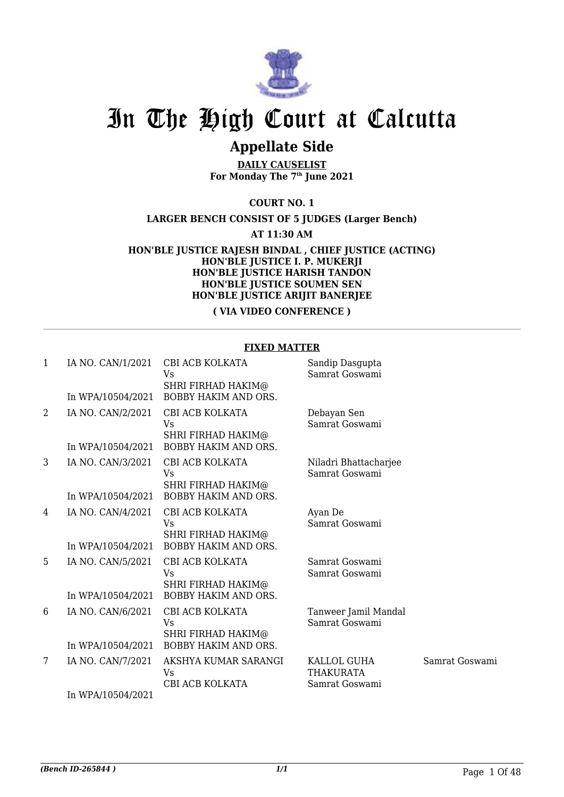

### **Appellate Side**

**DAILY CAUSELIST For Monday The 7th June 2021**

**COURT NO. 1**

**LARGER BENCH CONSIST OF 5 JUDGES (Larger Bench)**

**AT 11:30 AM**

**HON'BLE JUSTICE RAJESH BINDAL , CHIEF JUSTICE (ACTING) HON'BLE JUSTICE I. P. MUKERJI HON'BLE JUSTICE HARISH TANDON HON'BLE JUSTICE SOUMEN SEN HON'BLE JUSTICE ARIJIT BANERJEE**

**( VIA VIDEO CONFERENCE )**

#### **FIXED MATTER**

| 1 | IA NO. CAN/1/2021<br>In WPA/10504/2021 | CBI ACB KOLKATA<br>Vs<br>SHRI FIRHAD HAKIM@<br><b>BOBBY HAKIM AND ORS.</b> | Sandip Dasgupta<br>Samrat Goswami       |                |
|---|----------------------------------------|----------------------------------------------------------------------------|-----------------------------------------|----------------|
| 2 | IA NO. CAN/2/2021                      | CBI ACB KOLKATA                                                            | Debayan Sen                             |                |
|   |                                        | Vs                                                                         | Samrat Goswami                          |                |
|   |                                        | <b>SHRI FIRHAD HAKIM@</b>                                                  |                                         |                |
|   | In WPA/10504/2021                      | <b>BOBBY HAKIM AND ORS.</b>                                                |                                         |                |
| 3 | IA NO. CAN/3/2021                      | CBI ACB KOLKATA<br>Vs                                                      | Niladri Bhattacharjee<br>Samrat Goswami |                |
|   |                                        | <b>SHRI FIRHAD HAKIM@</b>                                                  |                                         |                |
|   | In WPA/10504/2021                      | <b>BOBBY HAKIM AND ORS.</b>                                                |                                         |                |
| 4 | IA NO. CAN/4/2021                      | CBI ACB KOLKATA                                                            | Ayan De                                 |                |
|   |                                        | Vs                                                                         | Samrat Goswami                          |                |
|   | In WPA/10504/2021                      | <b>SHRI FIRHAD HAKIM@</b><br>BOBBY HAKIM AND ORS.                          |                                         |                |
| 5 | IA NO. CAN/5/2021                      | CBI ACB KOLKATA                                                            | Samrat Goswami                          |                |
|   |                                        | Vs                                                                         | Samrat Goswami                          |                |
|   |                                        | SHRI FIRHAD HAKIM@                                                         |                                         |                |
|   | In WPA/10504/2021                      | <b>BOBBY HAKIM AND ORS.</b>                                                |                                         |                |
| 6 | IA NO. CAN/6/2021                      | CBI ACB KOLKATA<br>Vs                                                      | Tanweer Jamil Mandal<br>Samrat Goswami  |                |
|   |                                        | SHRI FIRHAD HAKIM@                                                         |                                         |                |
|   | In WPA/10504/2021                      | <b>BOBBY HAKIM AND ORS.</b>                                                |                                         |                |
| 7 | IA NO. CAN/7/2021                      | AKSHYA KUMAR SARANGI                                                       | KALLOL GUHA                             | Samrat Goswami |
|   |                                        | Vs                                                                         | <b>THAKURATA</b>                        |                |
|   | In WPA/10504/2021                      | CBI ACB KOLKATA                                                            | Samrat Goswami                          |                |
|   |                                        |                                                                            |                                         |                |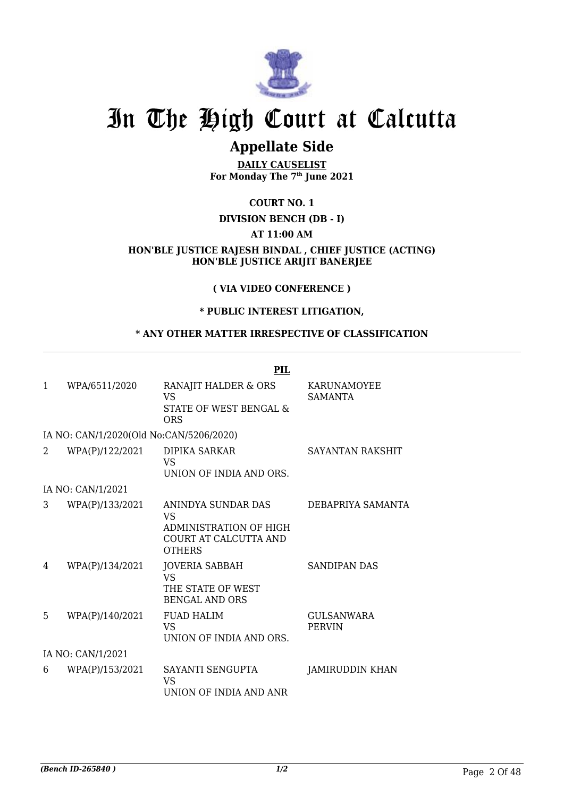

### **Appellate Side**

**DAILY CAUSELIST For Monday The 7th June 2021**

#### **COURT NO. 1**

#### **DIVISION BENCH (DB - I)**

#### **AT 11:00 AM**

**HON'BLE JUSTICE RAJESH BINDAL , CHIEF JUSTICE (ACTING) HON'BLE JUSTICE ARIJIT BANERJEE**

#### **( VIA VIDEO CONFERENCE )**

#### **\* PUBLIC INTEREST LITIGATION,**

#### **\* ANY OTHER MATTER IRRESPECTIVE OF CLASSIFICATION**

|              |                                         | PIL                                                                                                 |                                      |
|--------------|-----------------------------------------|-----------------------------------------------------------------------------------------------------|--------------------------------------|
| $\mathbf{1}$ | WPA/6511/2020                           | RANAJIT HALDER & ORS<br>VS<br>STATE OF WEST BENGAL &<br><b>ORS</b>                                  | <b>KARUNAMOYEE</b><br><b>SAMANTA</b> |
|              | IA NO: CAN/1/2020(Old No:CAN/5206/2020) |                                                                                                     |                                      |
| 2            | WPA(P)/122/2021                         | DIPIKA SARKAR<br><b>VS</b><br>UNION OF INDIA AND ORS.                                               | SAYANTAN RAKSHIT                     |
|              | IA NO: CAN/1/2021                       |                                                                                                     |                                      |
| 3            | WPA(P)/133/2021                         | ANINDYA SUNDAR DAS<br><b>VS</b><br>ADMINISTRATION OF HIGH<br>COURT AT CALCUTTA AND<br><b>OTHERS</b> | DEBAPRIYA SAMANTA                    |
| 4            | WPA(P)/134/2021                         | <b>JOVERIA SABBAH</b><br><b>VS</b><br>THE STATE OF WEST<br><b>BENGAL AND ORS</b>                    | <b>SANDIPAN DAS</b>                  |
| 5            | WPA(P)/140/2021                         | <b>FUAD HALIM</b><br><b>VS</b><br>UNION OF INDIA AND ORS.                                           | GULSANWARA<br><b>PERVIN</b>          |
|              | IA NO: CAN/1/2021                       |                                                                                                     |                                      |
| 6            | WPA(P)/153/2021                         | SAYANTI SENGUPTA<br>VS<br>UNION OF INDIA AND ANR                                                    | JAMIRUDDIN KHAN                      |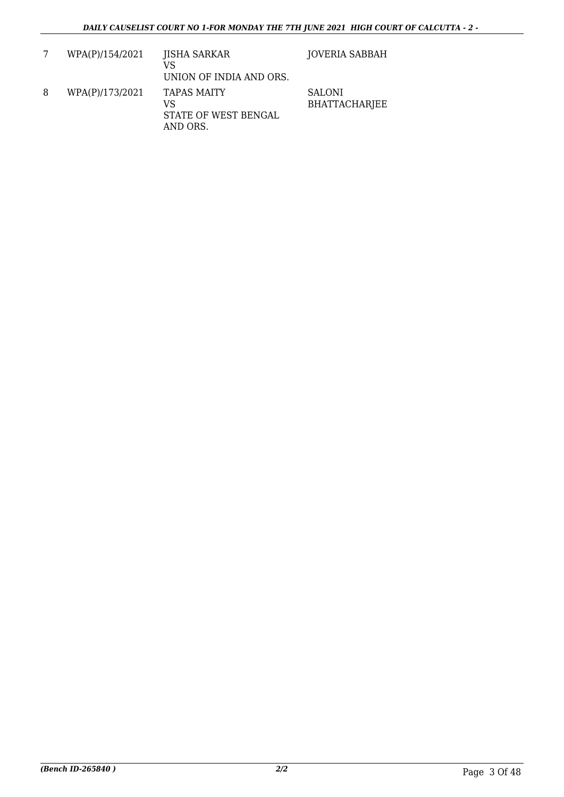|   | WPA(P)/154/2021 | <b>JISHA SARKAR</b><br>VS<br>UNION OF INDIA AND ORS.  | <b>JOVERIA SABBAH</b>                 |
|---|-----------------|-------------------------------------------------------|---------------------------------------|
| 8 | WPA(P)/173/2021 | TAPAS MAITY<br>VS<br>STATE OF WEST BENGAL<br>AND ORS. | <b>SALONI</b><br><b>BHATTACHARJEE</b> |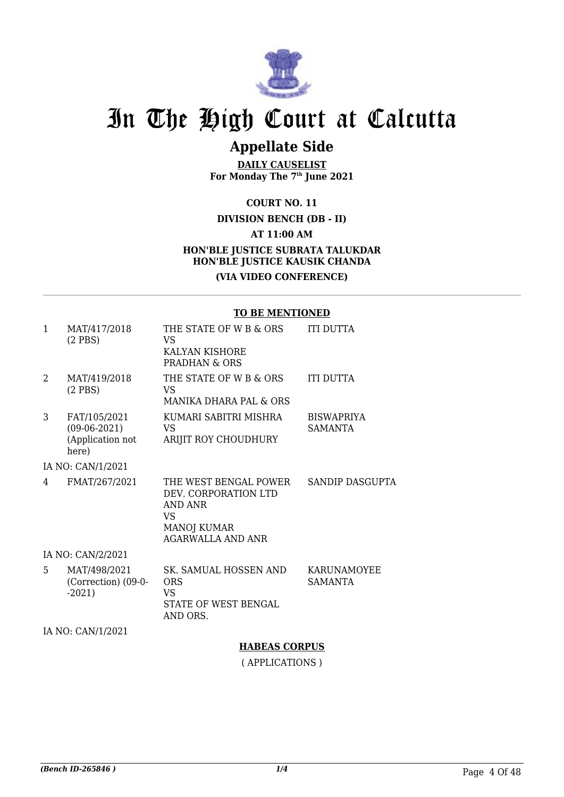

### **Appellate Side**

**DAILY CAUSELIST For Monday The 7th June 2021**

**COURT NO. 11**

#### **DIVISION BENCH (DB - II) AT 11:00 AM HON'BLE JUSTICE SUBRATA TALUKDAR HON'BLE JUSTICE KAUSIK CHANDA (VIA VIDEO CONFERENCE)**

#### **TO BE MENTIONED**

| $\mathbf{1}$                | MAT/417/2018<br>$(2$ PBS)                                   | THE STATE OF W B & ORS<br>VS<br>KALYAN KISHORE<br>PRADHAN & ORS                                           | <b>ITI DUTTA</b>                    |
|-----------------------------|-------------------------------------------------------------|-----------------------------------------------------------------------------------------------------------|-------------------------------------|
| $\mathcal{D}_{\mathcal{L}}$ | MAT/419/2018<br>$(2$ PBS)                                   | THE STATE OF W B & ORS<br>VS<br><b>MANIKA DHARA PAL &amp; ORS</b>                                         | <b>ITI DUTTA</b>                    |
| 3                           | FAT/105/2021<br>$(09-06-2021)$<br>(Application not<br>here) | KUMARI SABITRI MISHRA<br>VS.<br>ARIJIT ROY CHOUDHURY                                                      | <b>BISWAPRIYA</b><br><b>SAMANTA</b> |
|                             | IA NO: CAN/1/2021                                           |                                                                                                           |                                     |
| 4                           | FMAT/267/2021                                               | THE WEST BENGAL POWER<br>DEV. CORPORATION LTD<br>AND ANR<br>VS<br>MANOJ KUMAR<br><b>AGARWALLA AND ANR</b> | SANDIP DASGUPTA                     |
|                             | IA NO: CAN/2/2021                                           |                                                                                                           |                                     |
| 5                           | MAT/498/2021<br>(Correction) (09-0-<br>$-2021$              | SK. SAMUAL HOSSEN AND<br><b>ORS</b><br>VS<br>STATE OF WEST BENGAL<br>AND ORS.                             | KARUNAMOYEE<br><b>SAMANTA</b>       |

IA NO: CAN/1/2021

**HABEAS CORPUS**

( APPLICATIONS )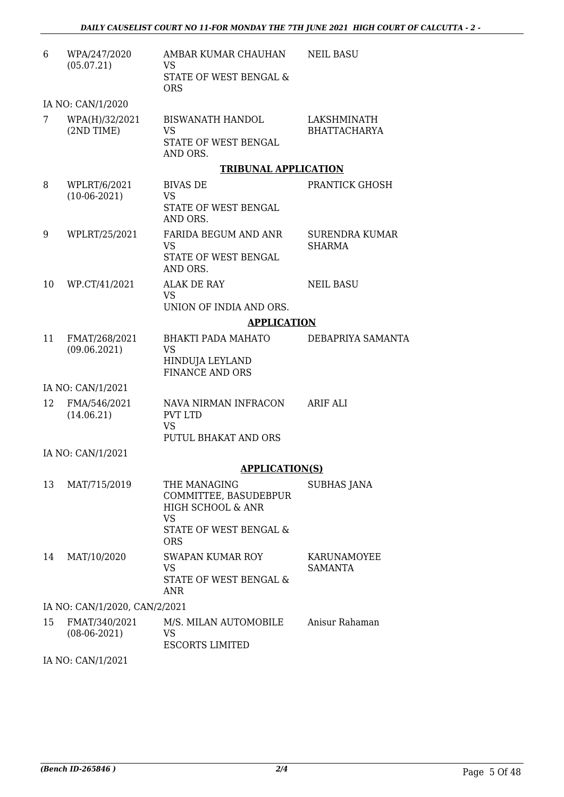| 6  | WPA/247/2020<br>(05.07.21)      | AMBAR KUMAR CHAUHAN<br>VS                                               | <b>NEIL BASU</b>                       |
|----|---------------------------------|-------------------------------------------------------------------------|----------------------------------------|
|    |                                 | STATE OF WEST BENGAL &<br><b>ORS</b>                                    |                                        |
|    | IA NO: CAN/1/2020               |                                                                         |                                        |
| 7  | WPA(H)/32/2021<br>(2ND TIME)    | <b>BISWANATH HANDOL</b><br><b>VS</b>                                    | LAKSHMINATH<br><b>BHATTACHARYA</b>     |
|    |                                 | STATE OF WEST BENGAL<br>AND ORS.                                        |                                        |
|    |                                 | <b>TRIBUNAL APPLICATION</b>                                             |                                        |
| 8  | WPLRT/6/2021                    | <b>BIVAS DE</b>                                                         | PRANTICK GHOSH                         |
|    | $(10-06-2021)$                  | <b>VS</b><br>STATE OF WEST BENGAL<br>AND ORS.                           |                                        |
| 9  | WPLRT/25/2021                   | <b>FARIDA BEGUM AND ANR</b><br><b>VS</b>                                | <b>SURENDRA KUMAR</b><br><b>SHARMA</b> |
|    |                                 | STATE OF WEST BENGAL<br>AND ORS.                                        |                                        |
| 10 | WP.CT/41/2021                   | <b>ALAK DE RAY</b><br><b>VS</b>                                         | <b>NEIL BASU</b>                       |
|    |                                 | UNION OF INDIA AND ORS.                                                 |                                        |
|    |                                 | <b>APPLICATION</b>                                                      |                                        |
| 11 | FMAT/268/2021                   | <b>BHAKTI PADA MAHATO</b>                                               | DEBAPRIYA SAMANTA                      |
|    | (09.06.2021)                    | <b>VS</b><br>HINDUJA LEYLAND<br><b>FINANCE AND ORS</b>                  |                                        |
|    | IA NO: CAN/1/2021               |                                                                         |                                        |
| 12 | FMA/546/2021<br>(14.06.21)      | NAVA NIRMAN INFRACON<br><b>PVT LTD</b>                                  | <b>ARIF ALI</b>                        |
|    |                                 | <b>VS</b><br>PUTUL BHAKAT AND ORS                                       |                                        |
|    | IA NO: CAN/1/2021               |                                                                         |                                        |
|    |                                 | <b>APPLICATION(S)</b>                                                   |                                        |
| 13 | MAT/715/2019                    | THE MANAGING<br>COMMITTEE, BASUDEBPUR<br>HIGH SCHOOL & ANR<br><b>VS</b> | SUBHAS JANA                            |
|    |                                 | STATE OF WEST BENGAL &<br><b>ORS</b>                                    |                                        |
| 14 | MAT/10/2020                     | SWAPAN KUMAR ROY                                                        | KARUNAMOYEE                            |
|    |                                 | <b>VS</b><br>STATE OF WEST BENGAL &<br><b>ANR</b>                       | <b>SAMANTA</b>                         |
|    | IA NO: CAN/1/2020, CAN/2/2021   |                                                                         |                                        |
| 15 | FMAT/340/2021<br>$(08-06-2021)$ | M/S. MILAN AUTOMOBILE<br><b>VS</b>                                      | Anisur Rahaman                         |
|    |                                 | <b>ESCORTS LIMITED</b>                                                  |                                        |

IA NO: CAN/1/2021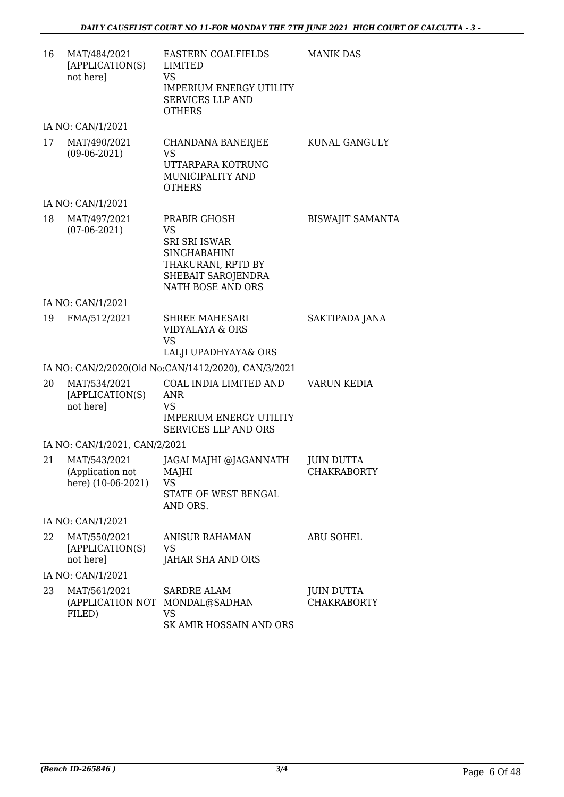| 16 | MAT/484/2021<br>[APPLICATION(S)<br>not here]           | EASTERN COALFIELDS<br>LIMITED<br><b>VS</b><br><b>IMPERIUM ENERGY UTILITY</b><br><b>SERVICES LLP AND</b><br><b>OTHERS</b>                         | <b>MANIK DAS</b>                        |
|----|--------------------------------------------------------|--------------------------------------------------------------------------------------------------------------------------------------------------|-----------------------------------------|
|    | IA NO: CAN/1/2021                                      |                                                                                                                                                  |                                         |
| 17 | MAT/490/2021<br>$(09-06-2021)$                         | CHANDANA BANERJEE<br><b>VS</b><br>UTTARPARA KOTRUNG<br>MUNICIPALITY AND<br><b>OTHERS</b>                                                         | KUNAL GANGULY                           |
|    | IA NO: CAN/1/2021                                      |                                                                                                                                                  |                                         |
| 18 | MAT/497/2021<br>$(07-06-2021)$                         | PRABIR GHOSH<br><b>VS</b><br><b>SRI SRI ISWAR</b><br><b>SINGHABAHINI</b><br>THAKURANI, RPTD BY<br>SHEBAIT SAROJENDRA<br><b>NATH BOSE AND ORS</b> | <b>BISWAJIT SAMANTA</b>                 |
|    | IA NO: CAN/1/2021                                      |                                                                                                                                                  |                                         |
| 19 | FMA/512/2021                                           | SHREE MAHESARI<br>VIDYALAYA & ORS<br><b>VS</b><br>LALJI UPADHYAYA& ORS                                                                           | SAKTIPADA JANA                          |
|    |                                                        | IA NO: CAN/2/2020(Old No:CAN/1412/2020), CAN/3/2021                                                                                              |                                         |
| 20 | MAT/534/2021<br>[APPLICATION(S)<br>not here]           | COAL INDIA LIMITED AND<br><b>ANR</b><br><b>VS</b><br><b>IMPERIUM ENERGY UTILITY</b><br><b>SERVICES LLP AND ORS</b>                               | <b>VARUN KEDIA</b>                      |
|    | IA NO: CAN/1/2021, CAN/2/2021                          |                                                                                                                                                  |                                         |
| 21 | MAT/543/2021<br>(Application not<br>here) (10-06-2021) | JAGAI MAJHI @JAGANNATH<br>MAJHI<br>VS.<br>STATE OF WEST BENGAL<br>AND ORS.                                                                       | <b>JUIN DUTTA</b><br><b>CHAKRABORTY</b> |
|    | IA NO: CAN/1/2021                                      |                                                                                                                                                  |                                         |
| 22 | MAT/550/2021<br>[APPLICATION(S)<br>not here]           | <b>ANISUR RAHAMAN</b><br>VS<br><b>JAHAR SHA AND ORS</b>                                                                                          | <b>ABU SOHEL</b>                        |
|    | IA NO: CAN/1/2021                                      |                                                                                                                                                  |                                         |
| 23 | MAT/561/2021<br>(APPLICATION NOT<br>FILED)             | <b>SARDRE ALAM</b><br>MONDAL@SADHAN<br>VS.<br>SK AMIR HOSSAIN AND ORS                                                                            | <b>JUIN DUTTA</b><br><b>CHAKRABORTY</b> |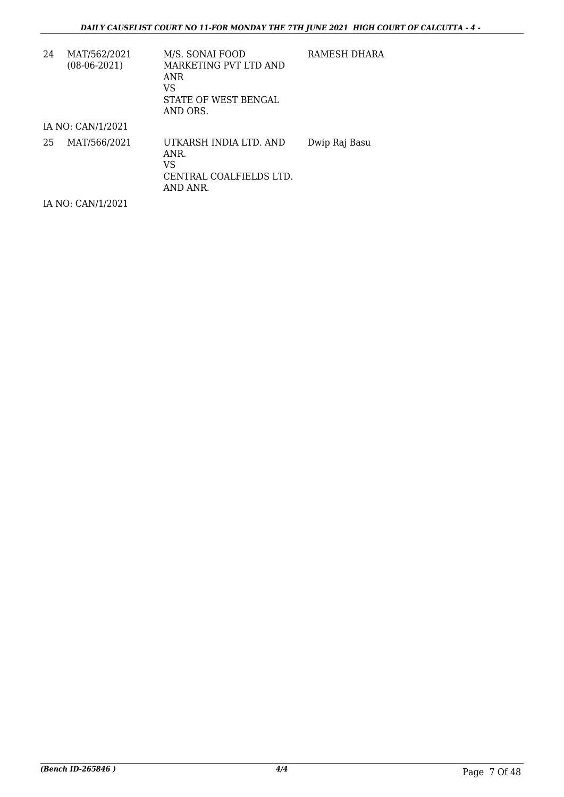| 24 | MAT/562/2021<br>$(08-06-2021)$ | M/S. SONAI FOOD<br>MARKETING PVT LTD AND<br>ANR<br>VS<br>STATE OF WEST BENGAL<br>AND ORS. | RAMESH DHARA  |
|----|--------------------------------|-------------------------------------------------------------------------------------------|---------------|
|    | IA NO: CAN/1/2021              |                                                                                           |               |
| 25 | MAT/566/2021                   | UTKARSH INDIA LTD. AND<br>ANR.<br>VS<br>CENTRAL COALFIELDS LTD.<br>AND ANR.               | Dwip Raj Basu |
|    | IA NO: CAN/1/2021              |                                                                                           |               |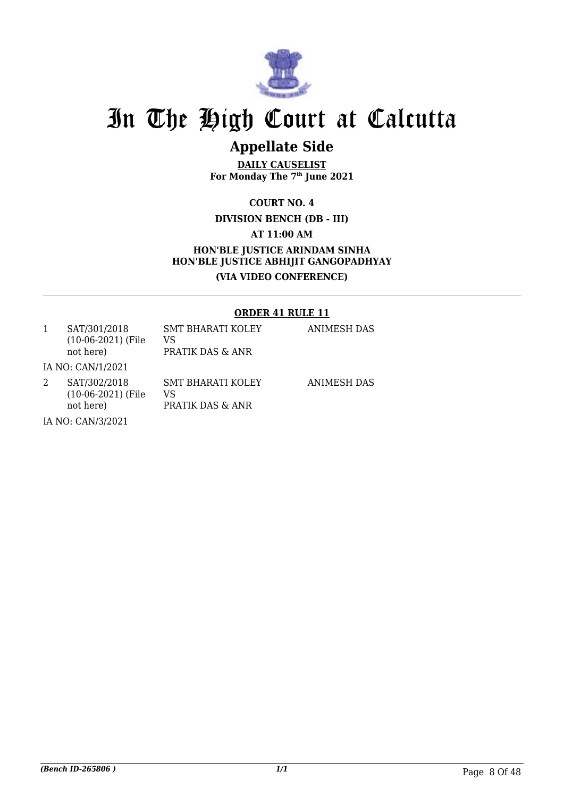

### **Appellate Side**

**DAILY CAUSELIST For Monday The 7th June 2021**

**COURT NO. 4**

**DIVISION BENCH (DB - III) AT 11:00 AM HON'BLE JUSTICE ARINDAM SINHA HON'BLE JUSTICE ABHIJIT GANGOPADHYAY (VIA VIDEO CONFERENCE)**

#### **ORDER 41 RULE 11**

| SAT/301/2018<br>$(10-06-2021)$ (File<br>not here) | <b>SMT BHARATI KOLEY</b><br>VS<br>PRATIK DAS & ANR | ANIMESH DAS        |
|---------------------------------------------------|----------------------------------------------------|--------------------|
| IA NO: CAN/1/2021                                 |                                                    |                    |
| SAT/302/2018<br>$(10-06-2021)$ (File<br>not here) | <b>SMT BHARATI KOLEY</b><br>VS<br>PRATIK DAS & ANR | <b>ANIMESH DAS</b> |
| $I$ AIO. CANIDIOO1                                |                                                    |                    |

IA NO: CAN/3/2021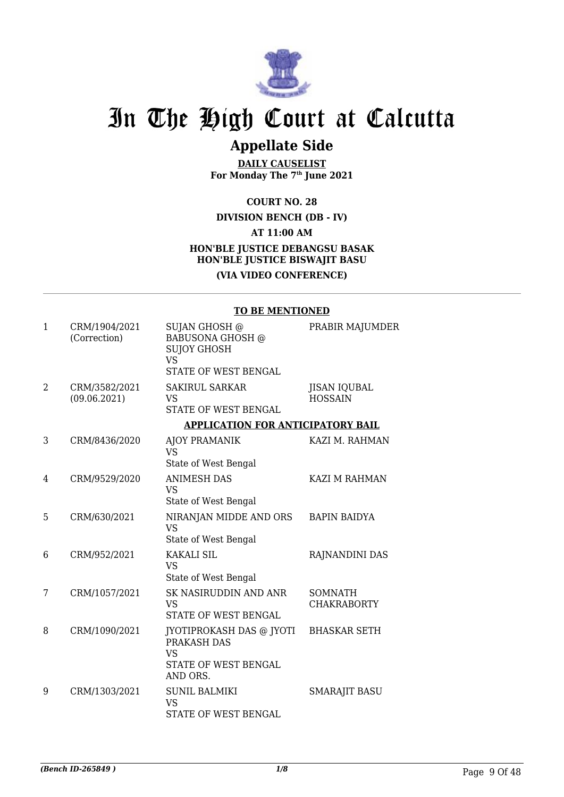

## **Appellate Side**

**DAILY CAUSELIST For Monday The 7th June 2021**

**COURT NO. 28**

**DIVISION BENCH (DB - IV)**

**AT 11:00 AM**

#### **HON'BLE JUSTICE DEBANGSU BASAK HON'BLE JUSTICE BISWAJIT BASU (VIA VIDEO CONFERENCE)**

#### **TO BE MENTIONED**

| $\mathbf{1}$ | CRM/1904/2021<br>(Correction) | SUJAN GHOSH @<br><b>BABUSONA GHOSH @</b><br><b>SUJOY GHOSH</b><br><b>VS</b><br>STATE OF WEST BENGAL | PRABIR MAJUMDER                       |
|--------------|-------------------------------|-----------------------------------------------------------------------------------------------------|---------------------------------------|
| 2            | CRM/3582/2021<br>(09.06.2021) | <b>SAKIRUL SARKAR</b><br><b>VS</b><br>STATE OF WEST BENGAL                                          | <b>JISAN IQUBAL</b><br><b>HOSSAIN</b> |
|              |                               | <b>APPLICATION FOR ANTICIPATORY BAIL</b>                                                            |                                       |
| 3            | CRM/8436/2020                 | <b>AJOY PRAMANIK</b><br><b>VS</b><br>State of West Bengal                                           | KAZI M. RAHMAN                        |
| 4            | CRM/9529/2020                 | <b>ANIMESH DAS</b><br><b>VS</b><br>State of West Bengal                                             | <b>KAZI M RAHMAN</b>                  |
| 5            | CRM/630/2021                  | NIRANJAN MIDDE AND ORS<br><b>VS</b><br>State of West Bengal                                         | <b>BAPIN BAIDYA</b>                   |
| 6            | CRM/952/2021                  | <b>KAKALI SIL</b><br><b>VS</b><br>State of West Bengal                                              | RAJNANDINI DAS                        |
| 7            | CRM/1057/2021                 | SK NASIRUDDIN AND ANR<br><b>VS</b><br>STATE OF WEST BENGAL                                          | <b>SOMNATH</b><br><b>CHAKRABORTY</b>  |
| 8            | CRM/1090/2021                 | JYOTIPROKASH DAS @ JYOTI<br>PRAKASH DAS<br><b>VS</b><br>STATE OF WEST BENGAL<br>AND ORS.            | <b>BHASKAR SETH</b>                   |
| 9            | CRM/1303/2021                 | <b>SUNIL BALMIKI</b><br><b>VS</b><br><b>STATE OF WEST BENGAL</b>                                    | <b>SMARAJIT BASU</b>                  |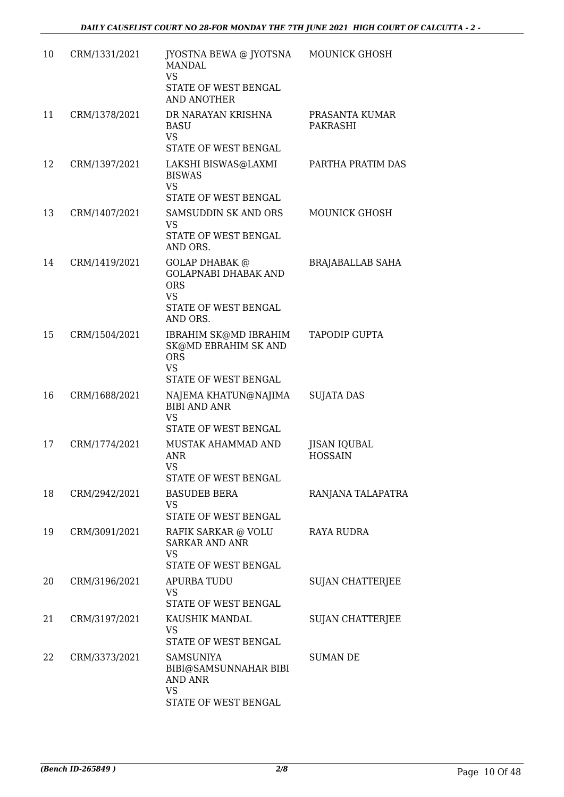| 10 | CRM/1331/2021 | JYOSTNA BEWA @ JYOTSNA<br><b>MANDAL</b><br><b>VS</b><br>STATE OF WEST BENGAL<br><b>AND ANOTHER</b>                  | <b>MOUNICK GHOSH</b>                  |
|----|---------------|---------------------------------------------------------------------------------------------------------------------|---------------------------------------|
| 11 | CRM/1378/2021 | DR NARAYAN KRISHNA<br><b>BASU</b><br><b>VS</b>                                                                      | PRASANTA KUMAR<br><b>PAKRASHI</b>     |
| 12 | CRM/1397/2021 | STATE OF WEST BENGAL<br>LAKSHI BISWAS@LAXMI<br><b>BISWAS</b><br><b>VS</b><br>STATE OF WEST BENGAL                   | PARTHA PRATIM DAS                     |
| 13 | CRM/1407/2021 | <b>SAMSUDDIN SK AND ORS</b><br>VS<br>STATE OF WEST BENGAL<br>AND ORS.                                               | <b>MOUNICK GHOSH</b>                  |
| 14 | CRM/1419/2021 | <b>GOLAP DHABAK @</b><br><b>GOLAPNABI DHABAK AND</b><br><b>ORS</b><br><b>VS</b><br>STATE OF WEST BENGAL<br>AND ORS. | <b>BRAJABALLAB SAHA</b>               |
| 15 | CRM/1504/2021 | IBRAHIM SK@MD IBRAHIM<br><b>SK@MD EBRAHIM SK AND</b><br><b>ORS</b><br><b>VS</b><br>STATE OF WEST BENGAL             | TAPODIP GUPTA                         |
| 16 | CRM/1688/2021 | NAJEMA KHATUN@NAJIMA<br><b>BIBI AND ANR</b><br><b>VS</b><br>STATE OF WEST BENGAL                                    | <b>SUJATA DAS</b>                     |
| 17 | CRM/1774/2021 | MUSTAK AHAMMAD AND<br><b>ANR</b><br>VS.<br>STATE OF WEST BENGAL                                                     | <b>JISAN IQUBAL</b><br><b>HOSSAIN</b> |
| 18 | CRM/2942/2021 | <b>BASUDEB BERA</b><br>VS<br>STATE OF WEST BENGAL                                                                   | RANJANA TALAPATRA                     |
| 19 | CRM/3091/2021 | RAFIK SARKAR @ VOLU<br><b>SARKAR AND ANR</b><br><b>VS</b><br>STATE OF WEST BENGAL                                   | <b>RAYA RUDRA</b>                     |
| 20 | CRM/3196/2021 | <b>APURBA TUDU</b><br><b>VS</b><br>STATE OF WEST BENGAL                                                             | <b>SUJAN CHATTERJEE</b>               |
| 21 | CRM/3197/2021 | KAUSHIK MANDAL<br><b>VS</b><br>STATE OF WEST BENGAL                                                                 | <b>SUJAN CHATTERJEE</b>               |
| 22 | CRM/3373/2021 | <b>SAMSUNIYA</b><br>BIBI@SAMSUNNAHAR BIBI<br><b>AND ANR</b><br><b>VS</b><br>STATE OF WEST BENGAL                    | <b>SUMAN DE</b>                       |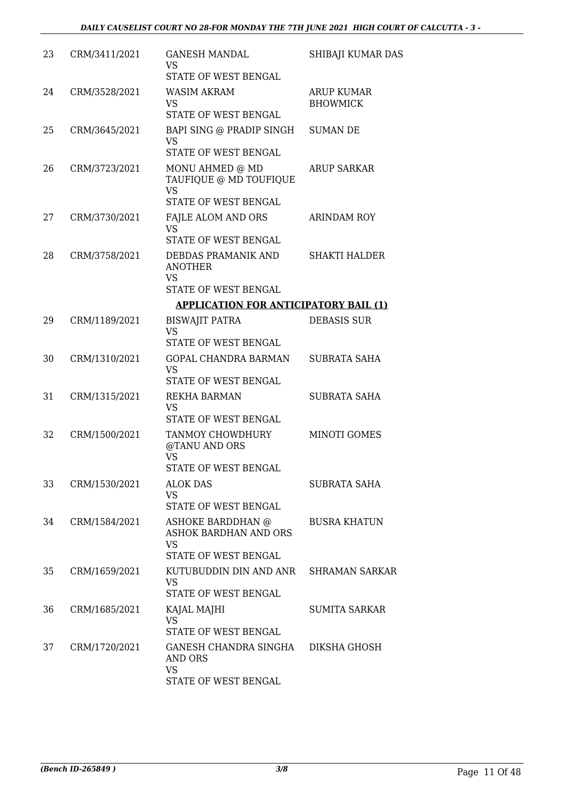| 23 | CRM/3411/2021 | <b>GANESH MANDAL</b><br><b>VS</b><br>STATE OF WEST BENGAL                              | SHIBAJI KUMAR DAS                    |
|----|---------------|----------------------------------------------------------------------------------------|--------------------------------------|
| 24 | CRM/3528/2021 | WASIM AKRAM<br><b>VS</b><br>STATE OF WEST BENGAL                                       | <b>ARUP KUMAR</b><br><b>BHOWMICK</b> |
| 25 | CRM/3645/2021 | BAPI SING @ PRADIP SINGH<br><b>VS</b><br>STATE OF WEST BENGAL                          | <b>SUMAN DE</b>                      |
| 26 | CRM/3723/2021 | MONU AHMED @ MD<br>TAUFIQUE @ MD TOUFIQUE<br><b>VS</b><br>STATE OF WEST BENGAL         | <b>ARUP SARKAR</b>                   |
| 27 | CRM/3730/2021 | FAJLE ALOM AND ORS<br><b>VS</b><br>STATE OF WEST BENGAL                                | ARINDAM ROY                          |
| 28 | CRM/3758/2021 | DEBDAS PRAMANIK AND<br><b>ANOTHER</b><br><b>VS</b><br>STATE OF WEST BENGAL             | <b>SHAKTI HALDER</b>                 |
|    |               | <b>APPLICATION FOR ANTICIPATORY BAIL (1)</b>                                           |                                      |
| 29 | CRM/1189/2021 | <b>BISWAJIT PATRA</b><br><b>VS</b><br>STATE OF WEST BENGAL                             | DEBASIS SUR                          |
| 30 | CRM/1310/2021 | GOPAL CHANDRA BARMAN<br><b>VS</b><br>STATE OF WEST BENGAL                              | SUBRATA SAHA                         |
| 31 | CRM/1315/2021 | <b>REKHA BARMAN</b><br><b>VS</b><br>STATE OF WEST BENGAL                               | <b>SUBRATA SAHA</b>                  |
| 32 | CRM/1500/2021 | TANMOY CHOWDHURY<br>@TANU AND ORS<br><b>VS</b><br>STATE OF WEST BENGAL                 | MINOTI GOMES                         |
| 33 | CRM/1530/2021 | <b>ALOK DAS</b><br><b>VS</b><br>STATE OF WEST BENGAL                                   | SUBRATA SAHA                         |
| 34 | CRM/1584/2021 | ASHOKE BARDDHAN @<br><b>ASHOK BARDHAN AND ORS</b><br><b>VS</b><br>STATE OF WEST BENGAL | <b>BUSRA KHATUN</b>                  |
| 35 | CRM/1659/2021 | KUTUBUDDIN DIN AND ANR<br><b>VS</b><br>STATE OF WEST BENGAL                            | <b>SHRAMAN SARKAR</b>                |
| 36 | CRM/1685/2021 | KAJAL MAJHI<br><b>VS</b><br>STATE OF WEST BENGAL                                       | <b>SUMITA SARKAR</b>                 |
| 37 | CRM/1720/2021 | GANESH CHANDRA SINGHA<br>AND ORS<br><b>VS</b><br>STATE OF WEST BENGAL                  | DIKSHA GHOSH                         |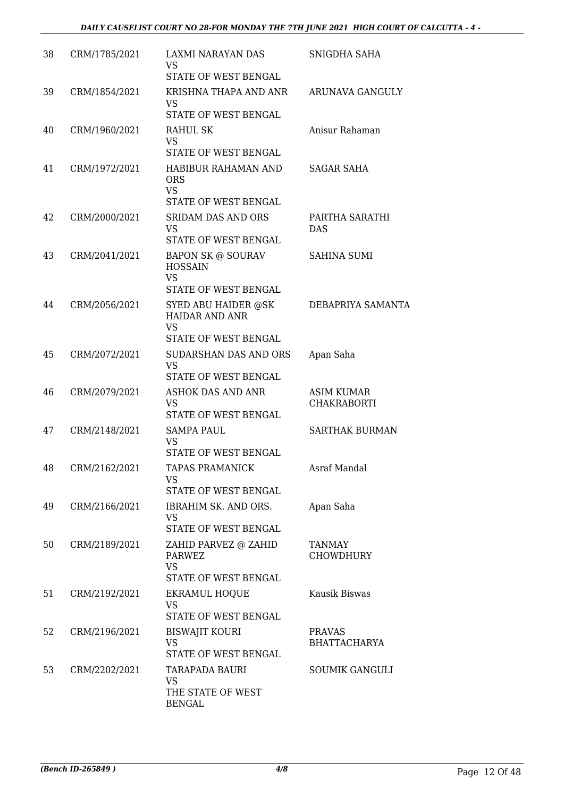| 38 | CRM/1785/2021 | <b>LAXMI NARAYAN DAS</b><br><b>VS</b><br>STATE OF WEST BENGAL                                             | SNIGDHA SAHA                            |
|----|---------------|-----------------------------------------------------------------------------------------------------------|-----------------------------------------|
| 39 | CRM/1854/2021 | KRISHNA THAPA AND ANR<br><b>VS</b><br>STATE OF WEST BENGAL                                                | ARUNAVA GANGULY                         |
| 40 | CRM/1960/2021 | RAHUL SK<br><b>VS</b><br>STATE OF WEST BENGAL                                                             | Anisur Rahaman                          |
| 41 | CRM/1972/2021 | HABIBUR RAHAMAN AND<br><b>ORS</b><br><b>VS</b><br>STATE OF WEST BENGAL                                    | SAGAR SAHA                              |
| 42 | CRM/2000/2021 | <b>SRIDAM DAS AND ORS</b><br><b>VS</b><br>STATE OF WEST BENGAL                                            | PARTHA SARATHI<br><b>DAS</b>            |
| 43 | CRM/2041/2021 | <b>BAPON SK @ SOURAV</b><br><b>HOSSAIN</b><br><b>VS</b>                                                   | <b>SAHINA SUMI</b>                      |
| 44 | CRM/2056/2021 | STATE OF WEST BENGAL<br>SYED ABU HAIDER @SK<br><b>HAIDAR AND ANR</b><br><b>VS</b><br>STATE OF WEST BENGAL | DEBAPRIYA SAMANTA                       |
| 45 | CRM/2072/2021 | <b>SUDARSHAN DAS AND ORS</b><br><b>VS</b><br>STATE OF WEST BENGAL                                         | Apan Saha                               |
| 46 | CRM/2079/2021 | <b>ASHOK DAS AND ANR</b><br><b>VS</b><br>STATE OF WEST BENGAL                                             | <b>ASIM KUMAR</b><br><b>CHAKRABORTI</b> |
| 47 | CRM/2148/2021 | SAMPA PAUL<br><b>VS</b><br>STATE OF WEST BENGAL                                                           | <b>SARTHAK BURMAN</b>                   |
| 48 | CRM/2162/2021 | TAPAS PRAMANICK<br><b>VS</b><br>STATE OF WEST BENGAL                                                      | Asraf Mandal                            |
| 49 | CRM/2166/2021 | IBRAHIM SK. AND ORS.<br><b>VS</b><br>STATE OF WEST BENGAL                                                 | Apan Saha                               |
| 50 | CRM/2189/2021 | ZAHID PARVEZ @ ZAHID<br><b>PARWEZ</b><br><b>VS</b><br>STATE OF WEST BENGAL                                | TANMAY<br><b>CHOWDHURY</b>              |
| 51 | CRM/2192/2021 | EKRAMUL HOQUE<br>VS<br>STATE OF WEST BENGAL                                                               | Kausik Biswas                           |
| 52 | CRM/2196/2021 | <b>BISWAJIT KOURI</b><br><b>VS</b><br>STATE OF WEST BENGAL                                                | <b>PRAVAS</b><br><b>BHATTACHARYA</b>    |
| 53 | CRM/2202/2021 | TARAPADA BAURI<br><b>VS</b><br>THE STATE OF WEST<br><b>BENGAL</b>                                         | <b>SOUMIK GANGULI</b>                   |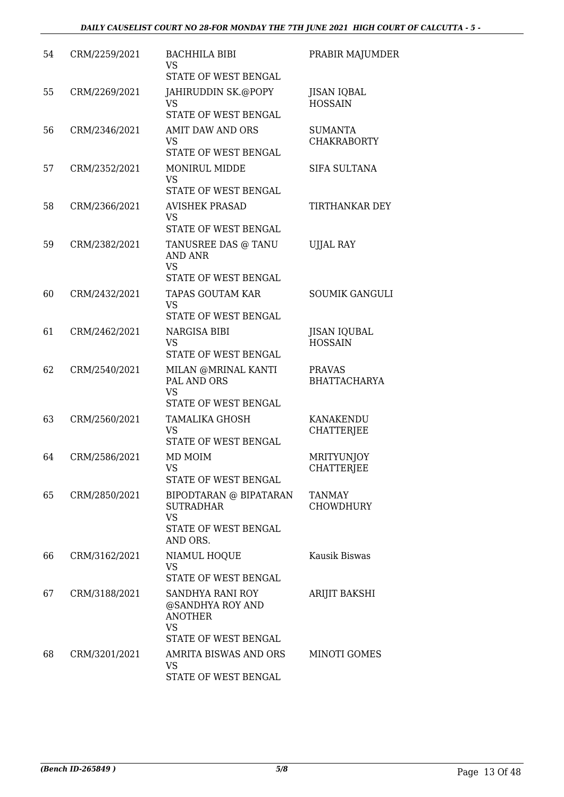| 54 | CRM/2259/2021 | <b>BACHHILA BIBI</b><br>VS<br>STATE OF WEST BENGAL                                          | PRABIR MAJUMDER                       |
|----|---------------|---------------------------------------------------------------------------------------------|---------------------------------------|
| 55 | CRM/2269/2021 | JAHIRUDDIN SK.@POPY<br><b>VS</b><br>STATE OF WEST BENGAL                                    | <b>JISAN IQBAL</b><br><b>HOSSAIN</b>  |
| 56 | CRM/2346/2021 | AMIT DAW AND ORS<br><b>VS</b><br>STATE OF WEST BENGAL                                       | <b>SUMANTA</b><br><b>CHAKRABORTY</b>  |
| 57 | CRM/2352/2021 | <b>MONIRUL MIDDE</b><br><b>VS</b><br>STATE OF WEST BENGAL                                   | SIFA SULTANA                          |
| 58 | CRM/2366/2021 | <b>AVISHEK PRASAD</b><br><b>VS</b><br>STATE OF WEST BENGAL                                  | TIRTHANKAR DEY                        |
| 59 | CRM/2382/2021 | TANUSREE DAS @ TANU<br><b>AND ANR</b><br><b>VS</b><br>STATE OF WEST BENGAL                  | <b>UJJAL RAY</b>                      |
| 60 | CRM/2432/2021 | <b>TAPAS GOUTAM KAR</b><br><b>VS</b><br>STATE OF WEST BENGAL                                | <b>SOUMIK GANGULI</b>                 |
| 61 | CRM/2462/2021 | <b>NARGISA BIBI</b><br><b>VS</b><br>STATE OF WEST BENGAL                                    | <b>JISAN IQUBAL</b><br><b>HOSSAIN</b> |
| 62 | CRM/2540/2021 | MILAN @MRINAL KANTI<br>PAL AND ORS<br><b>VS</b><br>STATE OF WEST BENGAL                     | <b>PRAVAS</b><br><b>BHATTACHARYA</b>  |
| 63 | CRM/2560/2021 | <b>TAMALIKA GHOSH</b><br>VS<br>STATE OF WEST BENGAL                                         | <b>KANAKENDU</b><br><b>CHATTERJEE</b> |
| 64 | CRM/2586/2021 | MD MOIM<br>VS —<br>STATE OF WEST BENGAL                                                     | <b>MRITYUNJOY</b><br>CHATTERJEE       |
| 65 | CRM/2850/2021 | BIPODTARAN @ BIPATARAN<br><b>SUTRADHAR</b><br><b>VS</b><br>STATE OF WEST BENGAL<br>AND ORS. | <b>TANMAY</b><br><b>CHOWDHURY</b>     |
| 66 | CRM/3162/2021 | NIAMUL HOQUE<br>VS<br>STATE OF WEST BENGAL                                                  | Kausik Biswas                         |
| 67 | CRM/3188/2021 | SANDHYA RANI ROY<br>@SANDHYA ROY AND<br><b>ANOTHER</b><br>VS<br>STATE OF WEST BENGAL        | ARIJIT BAKSHI                         |
| 68 | CRM/3201/2021 | AMRITA BISWAS AND ORS<br><b>VS</b><br>STATE OF WEST BENGAL                                  | <b>MINOTI GOMES</b>                   |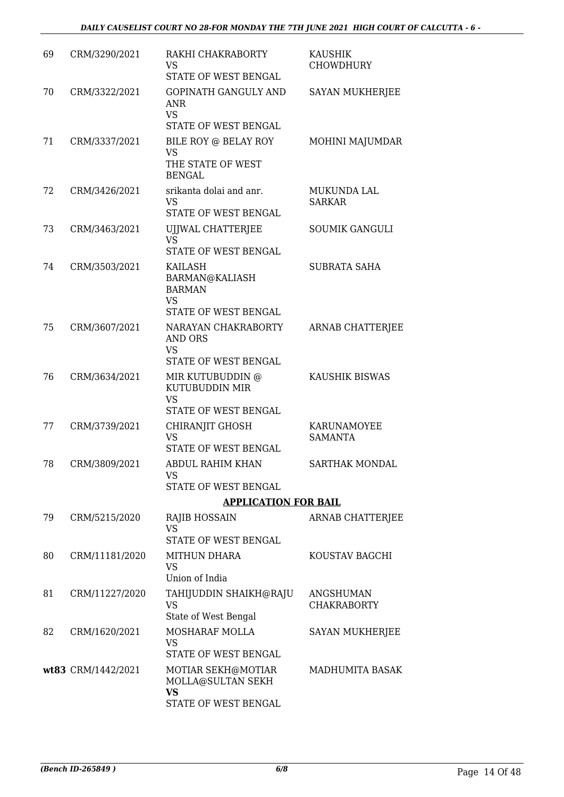| 69 | CRM/3290/2021      | RAKHI CHAKRABORTY<br>VS<br>STATE OF WEST BENGAL                                        | <b>KAUSHIK</b><br><b>CHOWDHURY</b> |
|----|--------------------|----------------------------------------------------------------------------------------|------------------------------------|
| 70 | CRM/3322/2021      | <b>GOPINATH GANGULY AND</b><br><b>ANR</b><br><b>VS</b><br>STATE OF WEST BENGAL         | <b>SAYAN MUKHERJEE</b>             |
| 71 | CRM/3337/2021      | BILE ROY @ BELAY ROY<br><b>VS</b><br>THE STATE OF WEST<br><b>BENGAL</b>                | MOHINI MAJUMDAR                    |
| 72 | CRM/3426/2021      | srikanta dolai and anr.<br><b>VS</b><br>STATE OF WEST BENGAL                           | MUKUNDA LAL<br><b>SARKAR</b>       |
| 73 | CRM/3463/2021      | UIJWAL CHATTERJEE<br><b>VS</b><br>STATE OF WEST BENGAL                                 | <b>SOUMIK GANGULI</b>              |
| 74 | CRM/3503/2021      | KAILASH<br>BARMAN@KALIASH<br><b>BARMAN</b><br><b>VS</b><br><b>STATE OF WEST BENGAL</b> | <b>SUBRATA SAHA</b>                |
| 75 | CRM/3607/2021      | NARAYAN CHAKRABORTY<br><b>AND ORS</b><br><b>VS</b><br>STATE OF WEST BENGAL             | ARNAB CHATTERJEE                   |
| 76 | CRM/3634/2021      | MIR KUTUBUDDIN @<br>KUTUBUDDIN MIR<br><b>VS</b><br>STATE OF WEST BENGAL                | KAUSHIK BISWAS                     |
| 77 | CRM/3739/2021      | CHIRANJIT GHOSH<br>VS<br>STATE OF WEST BENGAL                                          | KARUNAMOYEE<br><b>SAMANTA</b>      |
| 78 | CRM/3809/2021      | ABDUL RAHIM KHAN<br><b>VS</b><br>STATE OF WEST BENGAL                                  | SARTHAK MONDAL                     |
|    |                    | <b>APPLICATION FOR BAIL</b>                                                            |                                    |
| 79 | CRM/5215/2020      | RAJIB HOSSAIN<br><b>VS</b><br><b>STATE OF WEST BENGAL</b>                              | ARNAB CHATTERJEE                   |
| 80 | CRM/11181/2020     | MITHUN DHARA<br><b>VS</b><br>Union of India                                            | KOUSTAV BAGCHI                     |
| 81 | CRM/11227/2020     | TAHIJUDDIN SHAIKH@RAJU<br><b>VS</b><br>State of West Bengal                            | ANGSHUMAN<br><b>CHAKRABORTY</b>    |
| 82 | CRM/1620/2021      | MOSHARAF MOLLA<br>VS<br>STATE OF WEST BENGAL                                           | <b>SAYAN MUKHERJEE</b>             |
|    | wt83 CRM/1442/2021 | MOTIAR SEKH@MOTIAR<br>MOLLA@SULTAN SEKH<br><b>VS</b><br>STATE OF WEST BENGAL           | MADHUMITA BASAK                    |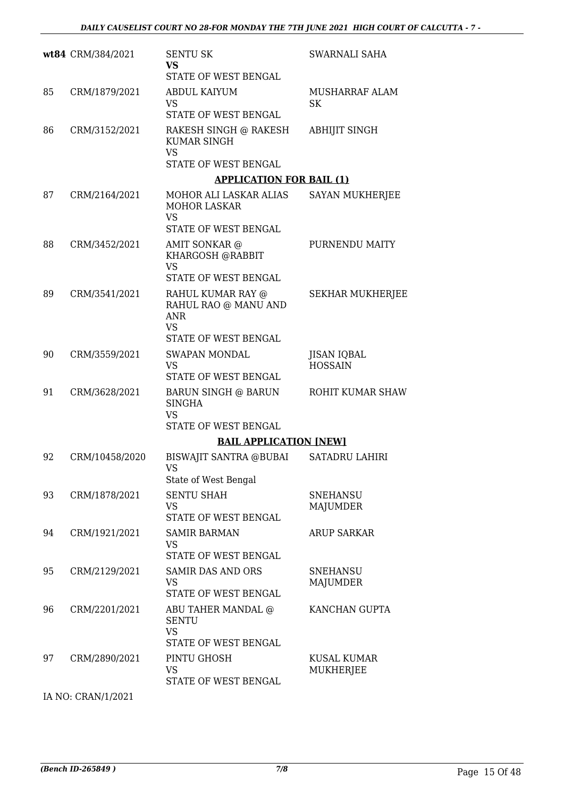|    | wt84 CRM/384/2021 | <b>SENTU SK</b><br><b>VS</b><br>STATE OF WEST BENGAL                                    | SWARNALI SAHA                        |
|----|-------------------|-----------------------------------------------------------------------------------------|--------------------------------------|
| 85 | CRM/1879/2021     | <b>ABDUL KAIYUM</b><br><b>VS</b><br>STATE OF WEST BENGAL                                | <b>MUSHARRAF ALAM</b><br><b>SK</b>   |
| 86 | CRM/3152/2021     | RAKESH SINGH @ RAKESH<br><b>KUMAR SINGH</b><br><b>VS</b>                                | <b>ABHIJIT SINGH</b>                 |
|    |                   | <b>STATE OF WEST BENGAL</b>                                                             |                                      |
|    |                   | <b>APPLICATION FOR BAIL (1)</b>                                                         |                                      |
| 87 | CRM/2164/2021     | MOHOR ALI LASKAR ALIAS<br><b>MOHOR LASKAR</b><br><b>VS</b>                              | <b>SAYAN MUKHERJEE</b>               |
|    |                   | STATE OF WEST BENGAL                                                                    |                                      |
| 88 | CRM/3452/2021     | AMIT SONKAR @<br>KHARGOSH @RABBIT<br><b>VS</b><br>STATE OF WEST BENGAL                  | PURNENDU MAITY                       |
| 89 | CRM/3541/2021     | RAHUL KUMAR RAY @<br>RAHUL RAO @ MANU AND<br><b>ANR</b><br><b>VS</b>                    | SEKHAR MUKHERJEE                     |
|    |                   | STATE OF WEST BENGAL                                                                    |                                      |
| 90 | CRM/3559/2021     | <b>SWAPAN MONDAL</b><br><b>VS</b><br>STATE OF WEST BENGAL                               | <b>JISAN IQBAL</b><br><b>HOSSAIN</b> |
| 91 | CRM/3628/2021     | <b>BARUN SINGH @ BARUN</b><br><b>SINGHA</b><br><b>VS</b><br><b>STATE OF WEST BENGAL</b> | ROHIT KUMAR SHAW                     |
|    |                   | <b>BAIL APPLICATION [NEW]</b>                                                           |                                      |
| 92 | CRM/10458/2020    | <b>BISWAJIT SANTRA @BUBAI</b><br>VS.<br>State of West Bengal                            | <b>SATADRU LAHIRI</b>                |
| 93 | CRM/1878/2021     | <b>SENTU SHAH</b><br><b>VS</b><br>STATE OF WEST BENGAL                                  | SNEHANSU<br>MAJUMDER                 |
| 94 | CRM/1921/2021     | <b>SAMIR BARMAN</b><br><b>VS</b>                                                        | <b>ARUP SARKAR</b>                   |
| 95 | CRM/2129/2021     | STATE OF WEST BENGAL<br><b>SAMIR DAS AND ORS</b><br><b>VS</b><br>STATE OF WEST BENGAL   | <b>SNEHANSU</b><br><b>MAJUMDER</b>   |
| 96 | CRM/2201/2021     | ABU TAHER MANDAL @<br><b>SENTU</b><br><b>VS</b><br>STATE OF WEST BENGAL                 | KANCHAN GUPTA                        |
| 97 | CRM/2890/2021     | PINTU GHOSH<br><b>VS</b><br>STATE OF WEST BENGAL                                        | KUSAL KUMAR<br>MUKHERJEE             |

IA NO: CRAN/1/2021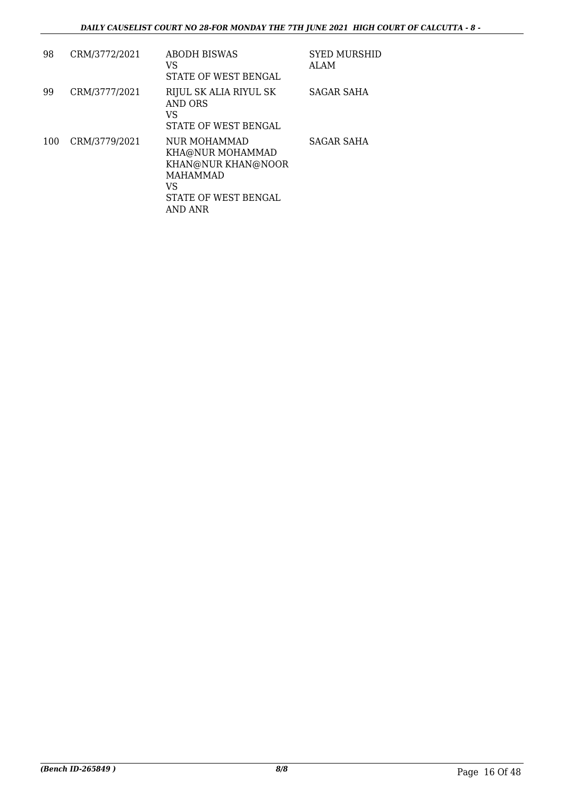| 98  | CRM/3772/2021 | ABODH BISWAS<br>VS<br>STATE OF WEST BENGAL                                                                         | <b>SYED MURSHID</b><br>ALAM |
|-----|---------------|--------------------------------------------------------------------------------------------------------------------|-----------------------------|
| 99  | CRM/3777/2021 | RIJUL SK ALIA RIYUL SK<br>AND ORS<br>VS<br>STATE OF WEST BENGAL                                                    | SAGAR SAHA                  |
| 100 | CRM/3779/2021 | NUR MOHAMMAD<br>KHA@NUR MOHAMMAD<br>KHAN@NUR KHAN@NOOR<br><b>MAHAMMAD</b><br>VS<br>STATE OF WEST BENGAL<br>AND ANR | <b>SAGAR SAHA</b>           |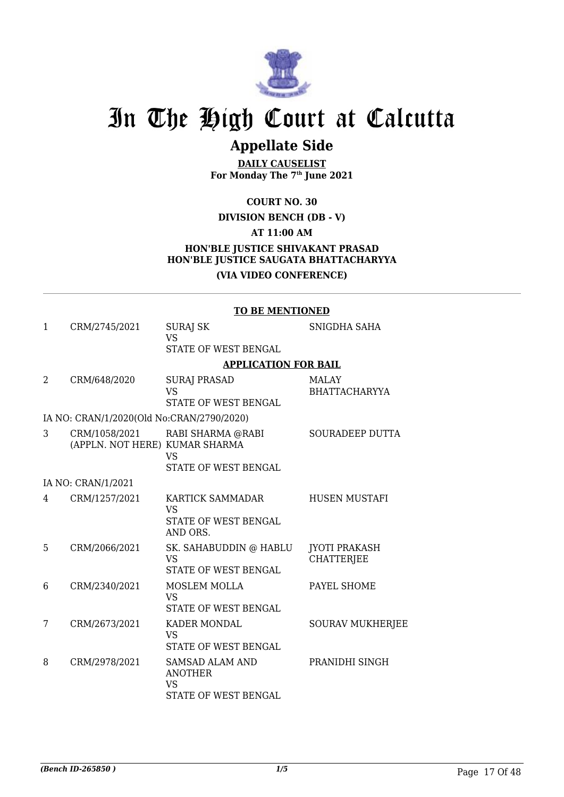

## **Appellate Side**

**DAILY CAUSELIST For Monday The 7th June 2021**

**COURT NO. 30**

#### **DIVISION BENCH (DB - V)**

**AT 11:00 AM**

#### **HON'BLE JUSTICE SHIVAKANT PRASAD HON'BLE JUSTICE SAUGATA BHATTACHARYYA (VIA VIDEO CONFERENCE)**

#### **TO BE MENTIONED**

| $\mathbf{1}$ | CRM/2745/2021                             | <b>SURAJ SK</b>                                                               | SNIGDHA SAHA                              |
|--------------|-------------------------------------------|-------------------------------------------------------------------------------|-------------------------------------------|
|              |                                           | <b>VS</b>                                                                     |                                           |
|              |                                           | STATE OF WEST BENGAL                                                          |                                           |
|              |                                           | <b>APPLICATION FOR BAIL</b>                                                   |                                           |
| 2            | CRM/648/2020                              | <b>SURAJ PRASAD</b><br><b>VS</b>                                              | <b>MALAY</b><br><b>BHATTACHARYYA</b>      |
|              |                                           | STATE OF WEST BENGAL                                                          |                                           |
|              | IA NO: CRAN/1/2020(Old No:CRAN/2790/2020) |                                                                               |                                           |
| 3            | (APPLN. NOT HERE) KUMAR SHARMA            | CRM/1058/2021 RABI SHARMA @RABI<br><b>VS</b>                                  | SOURADEEP DUTTA                           |
|              |                                           | STATE OF WEST BENGAL                                                          |                                           |
|              | IA NO: CRAN/1/2021                        |                                                                               |                                           |
| 4            | CRM/1257/2021                             | KARTICK SAMMADAR<br><b>VS</b><br>STATE OF WEST BENGAL<br>AND ORS.             | <b>HUSEN MUSTAFI</b>                      |
| 5            | CRM/2066/2021                             | SK. SAHABUDDIN @ HABLU<br><b>VS</b><br>STATE OF WEST BENGAL                   | <b>JYOTI PRAKASH</b><br><b>CHATTERJEE</b> |
| 6            | CRM/2340/2021                             | <b>MOSLEM MOLLA</b><br><b>VS</b><br>STATE OF WEST BENGAL                      | PAYEL SHOME                               |
| 7            | CRM/2673/2021                             | <b>KADER MONDAL</b><br><b>VS</b><br>STATE OF WEST BENGAL                      | <b>SOURAV MUKHERJEE</b>                   |
| 8            | CRM/2978/2021                             | SAMSAD ALAM AND<br><b>ANOTHER</b><br><b>VS</b><br><b>STATE OF WEST BENGAL</b> | PRANIDHI SINGH                            |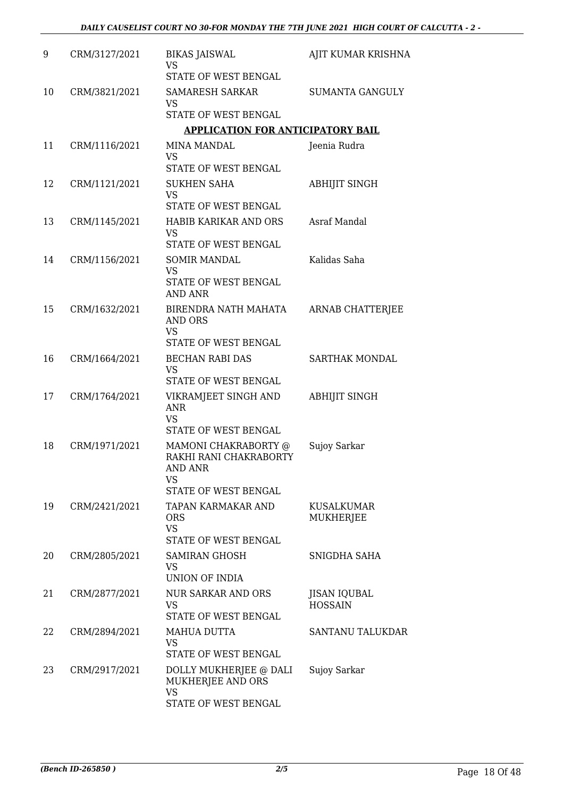| 9  | CRM/3127/2021 | <b>BIKAS JAISWAL</b><br><b>VS</b><br>STATE OF WEST BENGAL                                      | AJIT KUMAR KRISHNA                    |
|----|---------------|------------------------------------------------------------------------------------------------|---------------------------------------|
| 10 | CRM/3821/2021 | <b>SAMARESH SARKAR</b><br><b>VS</b><br>STATE OF WEST BENGAL                                    | <b>SUMANTA GANGULY</b>                |
|    |               | <b>APPLICATION FOR ANTICIPATORY BAIL</b>                                                       |                                       |
| 11 | CRM/1116/2021 | <b>MINA MANDAL</b><br><b>VS</b><br>STATE OF WEST BENGAL                                        | Jeenia Rudra                          |
| 12 | CRM/1121/2021 | <b>SUKHEN SAHA</b><br><b>VS</b>                                                                | ABHIJIT SINGH                         |
|    |               | STATE OF WEST BENGAL                                                                           |                                       |
| 13 | CRM/1145/2021 | <b>HABIB KARIKAR AND ORS</b><br><b>VS</b><br>STATE OF WEST BENGAL                              | Asraf Mandal                          |
| 14 | CRM/1156/2021 |                                                                                                | Kalidas Saha                          |
|    |               | <b>SOMIR MANDAL</b><br><b>VS</b><br>STATE OF WEST BENGAL<br><b>AND ANR</b>                     |                                       |
| 15 | CRM/1632/2021 | BIRENDRA NATH MAHATA<br>AND ORS<br><b>VS</b>                                                   | ARNAB CHATTERJEE                      |
|    |               | STATE OF WEST BENGAL                                                                           |                                       |
| 16 | CRM/1664/2021 | <b>BECHAN RABI DAS</b><br><b>VS</b><br>STATE OF WEST BENGAL                                    | SARTHAK MONDAL                        |
| 17 | CRM/1764/2021 | VIKRAMJEET SINGH AND<br><b>ANR</b><br><b>VS</b>                                                | <b>ABHIJIT SINGH</b>                  |
|    |               | STATE OF WEST BENGAL                                                                           |                                       |
| 18 | CRM/1971/2021 | MAMONI CHAKRABORTY @<br>RAKHI RANI CHAKRABORTY<br>AND ANR<br><b>VS</b><br>STATE OF WEST BENGAL | Sujoy Sarkar                          |
| 19 | CRM/2421/2021 | TAPAN KARMAKAR AND<br><b>ORS</b><br><b>VS</b><br>STATE OF WEST BENGAL                          | KUSALKUMAR<br>MUKHERJEE               |
| 20 | CRM/2805/2021 | SAMIRAN GHOSH                                                                                  | SNIGDHA SAHA                          |
|    |               | VS<br>UNION OF INDIA                                                                           |                                       |
| 21 | CRM/2877/2021 | <b>NUR SARKAR AND ORS</b><br><b>VS</b><br>STATE OF WEST BENGAL                                 | <b>JISAN IQUBAL</b><br><b>HOSSAIN</b> |
| 22 | CRM/2894/2021 | MAHUA DUTTA<br><b>VS</b><br>STATE OF WEST BENGAL                                               | SANTANU TALUKDAR                      |
| 23 | CRM/2917/2021 | DOLLY MUKHERJEE @ DALI<br>MUKHERJEE AND ORS<br><b>VS</b><br>STATE OF WEST BENGAL               | Sujoy Sarkar                          |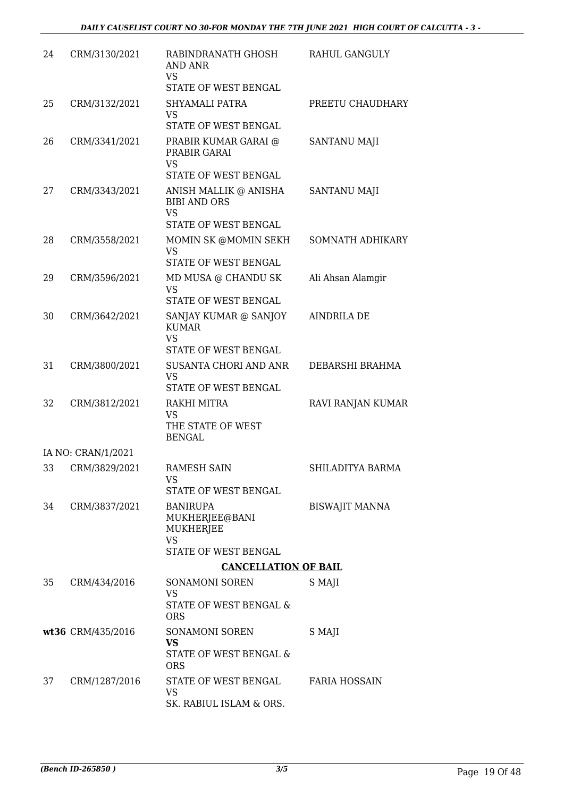| 24 | CRM/3130/2021      | RABINDRANATH GHOSH<br><b>AND ANR</b><br>VS<br>STATE OF WEST BENGAL                | RAHUL GANGULY         |
|----|--------------------|-----------------------------------------------------------------------------------|-----------------------|
| 25 | CRM/3132/2021      | <b>SHYAMALI PATRA</b><br><b>VS</b><br>STATE OF WEST BENGAL                        | PREETU CHAUDHARY      |
| 26 | CRM/3341/2021      | PRABIR KUMAR GARAI @<br>PRABIR GARAI<br><b>VS</b><br>STATE OF WEST BENGAL         | <b>SANTANU MAJI</b>   |
| 27 | CRM/3343/2021      | ANISH MALLIK @ ANISHA<br><b>BIBI AND ORS</b><br><b>VS</b><br>STATE OF WEST BENGAL | <b>SANTANU MAJI</b>   |
| 28 | CRM/3558/2021      | MOMIN SK @MOMIN SEKH<br><b>VS</b><br>STATE OF WEST BENGAL                         | SOMNATH ADHIKARY      |
| 29 | CRM/3596/2021      | MD MUSA @ CHANDU SK<br><b>VS</b><br>STATE OF WEST BENGAL                          | Ali Ahsan Alamgir     |
| 30 | CRM/3642/2021      | SANJAY KUMAR @ SANJOY<br><b>KUMAR</b><br><b>VS</b><br>STATE OF WEST BENGAL        | <b>AINDRILA DE</b>    |
| 31 | CRM/3800/2021      | SUSANTA CHORI AND ANR<br><b>VS</b><br>STATE OF WEST BENGAL                        | DEBARSHI BRAHMA       |
| 32 | CRM/3812/2021      | RAKHI MITRA<br><b>VS</b><br>THE STATE OF WEST<br><b>BENGAL</b>                    | RAVI RANJAN KUMAR     |
|    | IA NO: CRAN/1/2021 |                                                                                   |                       |
|    | 33 CRM/3829/2021   | <b>RAMESH SAIN</b><br>VS<br>STATE OF WEST BENGAL                                  | SHILADITYA BARMA      |
| 34 | CRM/3837/2021      | <b>BANIRUPA</b><br>MUKHERJEE@BANI<br><b>MUKHERJEE</b><br><b>VS</b>                | <b>BISWAJIT MANNA</b> |
|    |                    | STATE OF WEST BENGAL                                                              |                       |
| 35 | CRM/434/2016       | <b>CANCELLATION OF BAIL</b><br><b>SONAMONI SOREN</b>                              | S MAJI                |
|    |                    | <b>VS</b><br>STATE OF WEST BENGAL &<br><b>ORS</b>                                 |                       |
|    | wt36 CRM/435/2016  | SONAMONI SOREN<br><b>VS</b><br>STATE OF WEST BENGAL &<br><b>ORS</b>               | S MAJI                |
| 37 | CRM/1287/2016      | STATE OF WEST BENGAL<br>VS<br>SK. RABIUL ISLAM & ORS.                             | <b>FARIA HOSSAIN</b>  |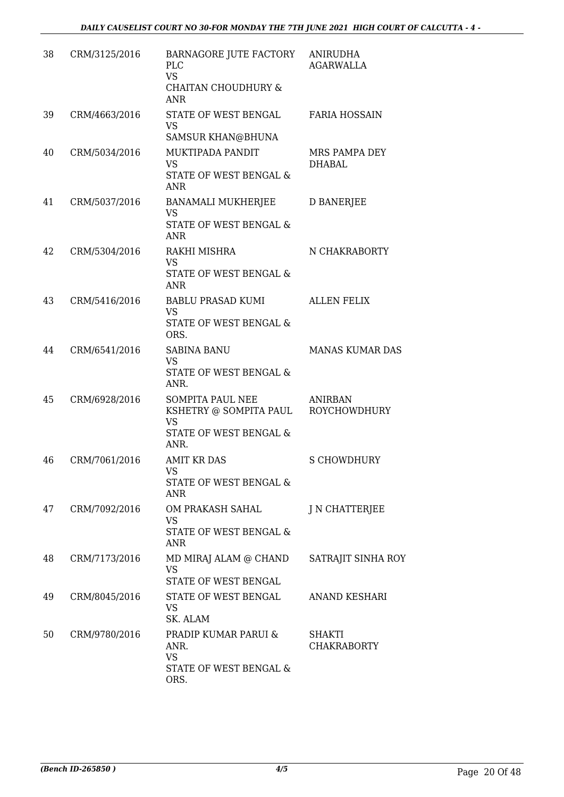| 38 | CRM/3125/2016 | BARNAGORE JUTE FACTORY<br><b>PLC</b><br><b>VS</b><br><b>CHAITAN CHOUDHURY &amp;</b>              | <b>ANIRUDHA</b><br><b>AGARWALLA</b>   |
|----|---------------|--------------------------------------------------------------------------------------------------|---------------------------------------|
| 39 | CRM/4663/2016 | <b>ANR</b><br>STATE OF WEST BENGAL<br>VS                                                         | <b>FARIA HOSSAIN</b>                  |
| 40 | CRM/5034/2016 | SAMSUR KHAN@BHUNA<br>MUKTIPADA PANDIT<br><b>VS</b><br>STATE OF WEST BENGAL &<br><b>ANR</b>       | MRS PAMPA DEY<br><b>DHABAL</b>        |
| 41 | CRM/5037/2016 | BANAMALI MUKHERJEE<br><b>VS</b><br>STATE OF WEST BENGAL &<br>ANR                                 | <b>D BANERJEE</b>                     |
| 42 | CRM/5304/2016 | RAKHI MISHRA<br><b>VS</b><br><b>STATE OF WEST BENGAL &amp;</b><br><b>ANR</b>                     | N CHAKRABORTY                         |
| 43 | CRM/5416/2016 | BABLU PRASAD KUMI<br><b>VS</b><br>STATE OF WEST BENGAL &<br>ORS.                                 | <b>ALLEN FELIX</b>                    |
| 44 | CRM/6541/2016 | <b>SABINA BANU</b><br><b>VS</b><br>STATE OF WEST BENGAL &<br>ANR.                                | <b>MANAS KUMAR DAS</b>                |
| 45 | CRM/6928/2016 | <b>SOMPITA PAUL NEE</b><br>KSHETRY @ SOMPITA PAUL<br><b>VS</b><br>STATE OF WEST BENGAL &<br>ANR. | <b>ANIRBAN</b><br><b>ROYCHOWDHURY</b> |
| 46 | CRM/7061/2016 | <b>AMIT KR DAS</b><br><b>VS</b><br>STATE OF WEST BENGAL &<br><b>ANR</b>                          | <b>S CHOWDHURY</b>                    |
| 47 | CRM/7092/2016 | OM PRAKASH SAHAL<br><b>VS</b><br>STATE OF WEST BENGAL &<br><b>ANR</b>                            | J N CHATTERJEE                        |
| 48 | CRM/7173/2016 | MD MIRAJ ALAM @ CHAND<br><b>VS</b><br>STATE OF WEST BENGAL                                       | SATRAJIT SINHA ROY                    |
| 49 | CRM/8045/2016 | STATE OF WEST BENGAL<br>VS<br>SK. ALAM                                                           | <b>ANAND KESHARI</b>                  |
| 50 | CRM/9780/2016 | PRADIP KUMAR PARUI &<br>ANR.<br>VS<br>STATE OF WEST BENGAL &<br>ORS.                             | SHAKTI<br><b>CHAKRABORTY</b>          |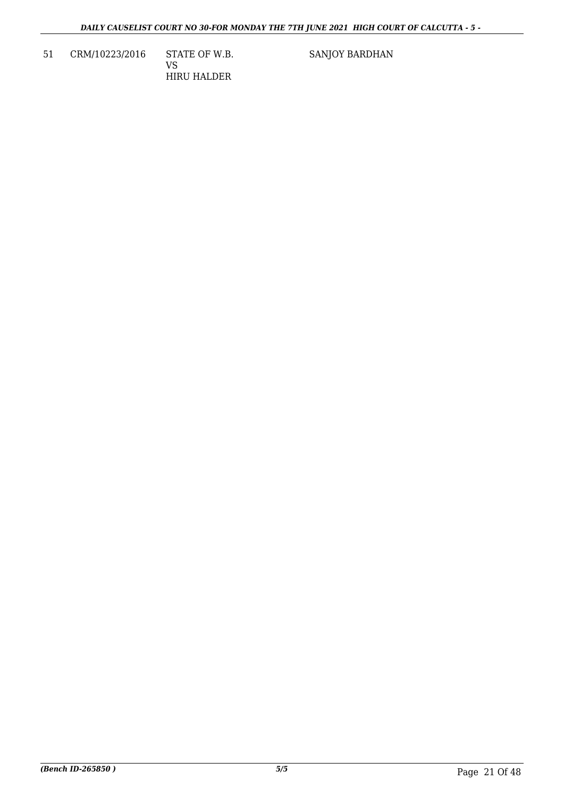51 CRM/10223/2016 STATE OF W.B. VS HIRU HALDER

SANJOY BARDHAN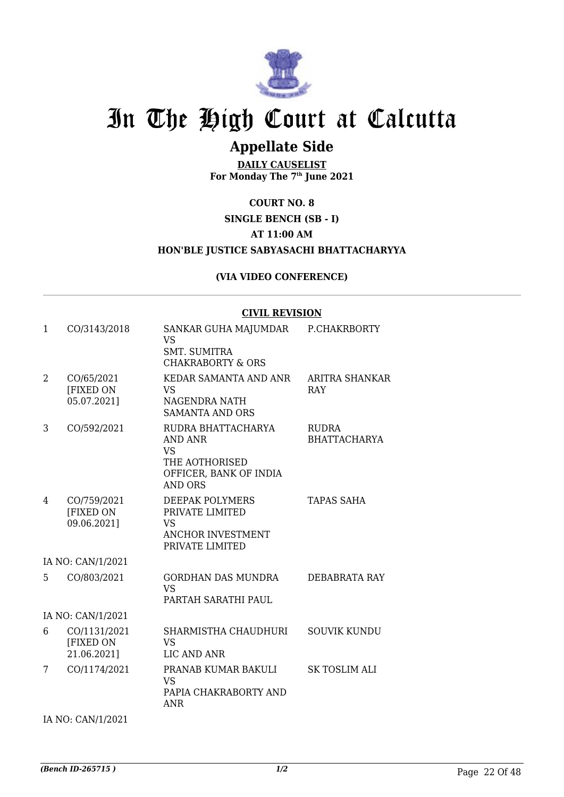

### **Appellate Side**

**DAILY CAUSELIST For Monday The 7th June 2021**

**COURT NO. 8**

#### **SINGLE BENCH (SB - I) AT 11:00 AM**

#### **HON'BLE JUSTICE SABYASACHI BHATTACHARYYA**

#### **(VIA VIDEO CONFERENCE)**

#### **CIVIL REVISION**

| 1              | CO/3143/2018                             | SANKAR GUHA MAJUMDAR<br><b>VS</b><br><b>SMT. SUMITRA</b><br><b>CHAKRABORTY &amp; ORS</b>                        | P.CHAKRBORTY                        |
|----------------|------------------------------------------|-----------------------------------------------------------------------------------------------------------------|-------------------------------------|
| $\overline{2}$ | CO/65/2021<br>[FIXED ON<br>05.07.2021]   | KEDAR SAMANTA AND ANR<br><b>VS</b><br>NAGENDRA NATH<br><b>SAMANTA AND ORS</b>                                   | ARITRA SHANKAR<br><b>RAY</b>        |
| 3              | CO/592/2021                              | RUDRA BHATTACHARYA<br><b>AND ANR</b><br><b>VS</b><br>THE AOTHORISED<br>OFFICER, BANK OF INDIA<br><b>AND ORS</b> | <b>RUDRA</b><br><b>BHATTACHARYA</b> |
| 4              | CO/759/2021<br>[FIXED ON<br>09.06.2021]  | <b>DEEPAK POLYMERS</b><br>PRIVATE LIMITED<br><b>VS</b><br><b>ANCHOR INVESTMENT</b><br>PRIVATE LIMITED           | <b>TAPAS SAHA</b>                   |
|                | IA NO: CAN/1/2021                        |                                                                                                                 |                                     |
| 5              | CO/803/2021                              | <b>GORDHAN DAS MUNDRA</b><br><b>VS</b><br>PARTAH SARATHI PAUL                                                   | DEBABRATA RAY                       |
|                | IA NO: CAN/1/2021                        |                                                                                                                 |                                     |
| 6              | CO/1131/2021<br>[FIXED ON<br>21.06.2021] | SHARMISTHA CHAUDHURI<br><b>VS</b><br>LIC AND ANR                                                                | <b>SOUVIK KUNDU</b>                 |
| 7              | CO/1174/2021                             | PRANAB KUMAR BAKULI<br>VS.<br>PAPIA CHAKRABORTY AND<br><b>ANR</b>                                               | <b>SK TOSLIM ALI</b>                |

IA NO: CAN/1/2021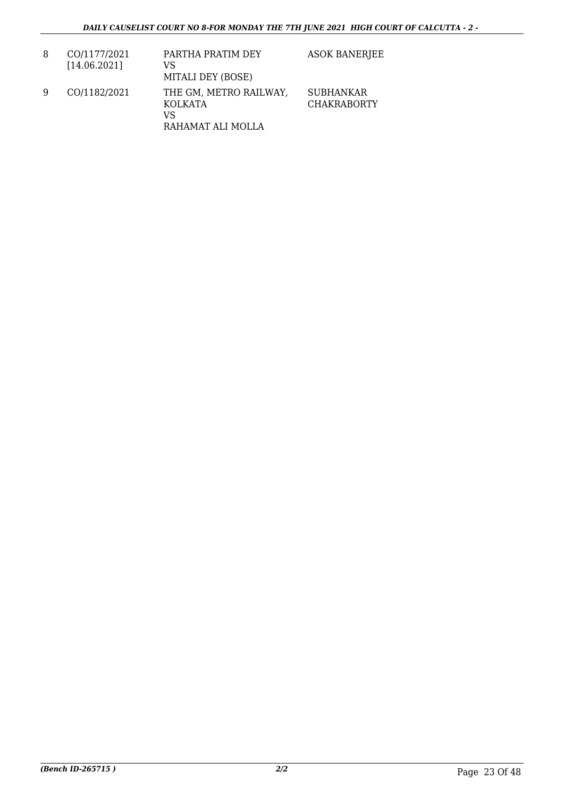| 8 | CO/1177/2021<br>[14.06.2021] | PARTHA PRATIM DEY<br>VS<br>MITALI DEY (BOSE)                        | <b>ASOK BANERJEE</b>                   |
|---|------------------------------|---------------------------------------------------------------------|----------------------------------------|
| 9 | CO/1182/2021                 | THE GM, METRO RAILWAY,<br><b>KOLKATA</b><br>VS<br>RAHAMAT ALI MOLLA | <b>SUBHANKAR</b><br><b>CHAKRABORTY</b> |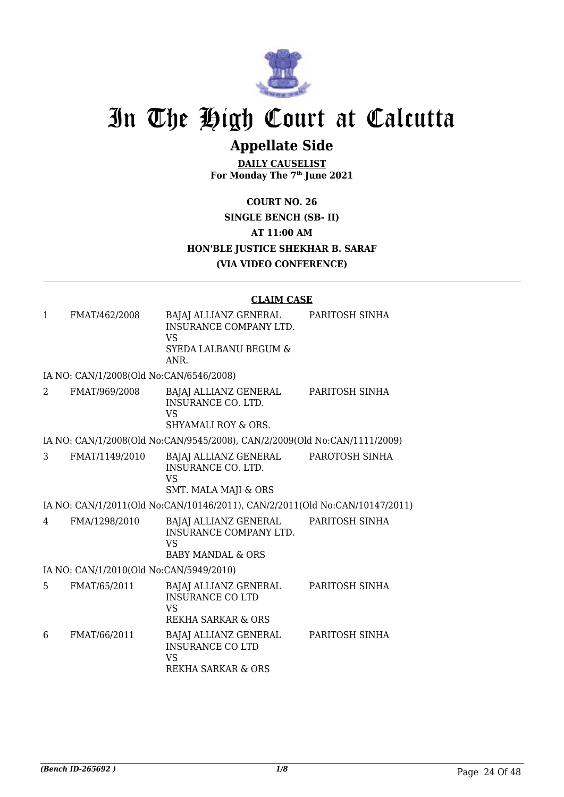

## **Appellate Side**

**DAILY CAUSELIST For Monday The 7th June 2021**

**COURT NO. 26 SINGLE BENCH (SB- II) AT 11:00 AM HON'BLE JUSTICE SHEKHAR B. SARAF (VIA VIDEO CONFERENCE)**

#### **CLAIM CASE**

| $\mathbf{1}$ | FMAT/462/2008                           | BAJAJ ALLIANZ GENERAL<br>INSURANCE COMPANY LTD.<br><b>VS</b><br><b>SYEDA LALBANU BEGUM &amp;</b><br>ANR. | PARITOSH SINHA |
|--------------|-----------------------------------------|----------------------------------------------------------------------------------------------------------|----------------|
|              | IA NO: CAN/1/2008(Old No:CAN/6546/2008) |                                                                                                          |                |
| 2            | FMAT/969/2008                           | BAJAJ ALLIANZ GENERAL<br><b>INSURANCE CO. LTD.</b><br><b>VS</b><br>SHYAMALI ROY & ORS.                   | PARITOSH SINHA |
|              |                                         | IA NO: CAN/1/2008(Old No:CAN/9545/2008), CAN/2/2009(Old No:CAN/1111/2009)                                |                |
| 3            | FMAT/1149/2010                          | BAJAJ ALLIANZ GENERAL<br><b>INSURANCE CO. LTD.</b><br><b>VS</b><br><b>SMT. MALA MAJI &amp; ORS</b>       | PAROTOSH SINHA |
|              |                                         | IA NO: CAN/1/2011(Old No:CAN/10146/2011), CAN/2/2011(Old No:CAN/10147/2011)                              |                |
| 4            | FMA/1298/2010                           | BAJAJ ALLIANZ GENERAL<br><b>INSURANCE COMPANY LTD.</b><br><b>VS</b><br><b>BABY MANDAL &amp; ORS</b>      | PARITOSH SINHA |
|              | IA NO: CAN/1/2010(Old No:CAN/5949/2010) |                                                                                                          |                |
| 5.           | FMAT/65/2011                            | BAJAJ ALLIANZ GENERAL<br><b>INSURANCE CO LTD</b><br>VS<br><b>REKHA SARKAR &amp; ORS</b>                  | PARITOSH SINHA |
| 6            | FMAT/66/2011                            | BAJAJ ALLIANZ GENERAL<br><b>INSURANCE CO LTD</b><br><b>VS</b><br><b>REKHA SARKAR &amp; ORS</b>           | PARITOSH SINHA |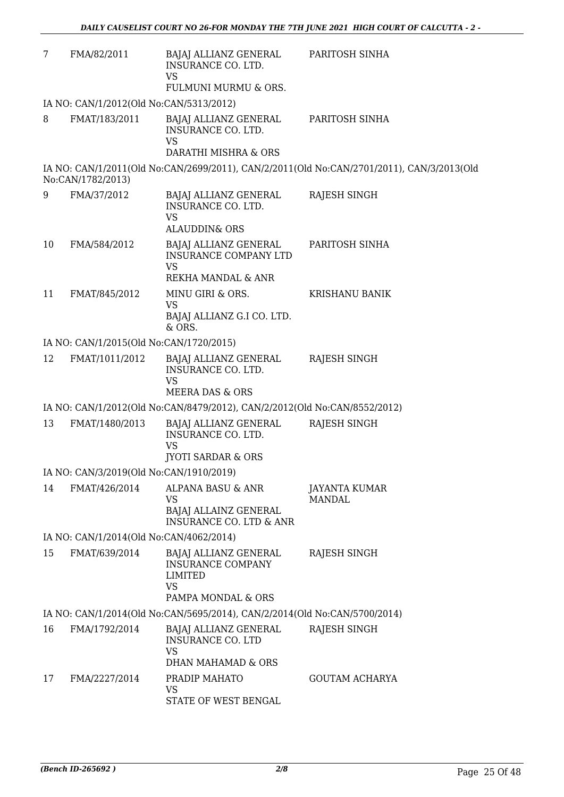| 7  | FMA/82/2011                             | BAJAJ ALLIANZ GENERAL<br>INSURANCE CO. LTD.<br><b>VS</b>                                        | PARITOSH SINHA                                                                            |
|----|-----------------------------------------|-------------------------------------------------------------------------------------------------|-------------------------------------------------------------------------------------------|
|    |                                         | FULMUNI MURMU & ORS.                                                                            |                                                                                           |
|    | IA NO: CAN/1/2012(Old No:CAN/5313/2012) |                                                                                                 |                                                                                           |
| 8  | FMAT/183/2011                           | BAJAJ ALLIANZ GENERAL<br>INSURANCE CO. LTD.<br><b>VS</b>                                        | PARITOSH SINHA                                                                            |
|    |                                         | DARATHI MISHRA & ORS                                                                            |                                                                                           |
|    | No:CAN/1782/2013)                       |                                                                                                 | IA NO: CAN/1/2011(Old No:CAN/2699/2011), CAN/2/2011(Old No:CAN/2701/2011), CAN/3/2013(Old |
| 9  | FMA/37/2012                             | BAJAJ ALLIANZ GENERAL<br>INSURANCE CO. LTD.<br><b>VS</b><br><b>ALAUDDIN&amp; ORS</b>            | RAJESH SINGH                                                                              |
| 10 | FMA/584/2012                            | BAJAJ ALLIANZ GENERAL<br>INSURANCE COMPANY LTD<br><b>VS</b>                                     | PARITOSH SINHA                                                                            |
|    |                                         | REKHA MANDAL & ANR                                                                              |                                                                                           |
| 11 | FMAT/845/2012                           | MINU GIRI & ORS.<br><b>VS</b>                                                                   | <b>KRISHANU BANIK</b>                                                                     |
|    |                                         | BAJAJ ALLIANZ G.I CO. LTD.<br>& ORS.                                                            |                                                                                           |
|    | IA NO: CAN/1/2015(Old No:CAN/1720/2015) |                                                                                                 |                                                                                           |
| 12 | FMAT/1011/2012                          | BAJAJ ALLIANZ GENERAL<br>INSURANCE CO. LTD.<br><b>VS</b><br>MEERA DAS & ORS                     | <b>RAJESH SINGH</b>                                                                       |
|    |                                         | IA NO: CAN/1/2012(Old No:CAN/8479/2012), CAN/2/2012(Old No:CAN/8552/2012)                       |                                                                                           |
| 13 | FMAT/1480/2013                          | BAJAJ ALLIANZ GENERAL<br>INSURANCE CO. LTD.<br><b>VS</b>                                        | <b>RAJESH SINGH</b>                                                                       |
|    |                                         | <b>JYOTI SARDAR &amp; ORS</b>                                                                   |                                                                                           |
|    | IA NO: CAN/3/2019(Old No:CAN/1910/2019) |                                                                                                 |                                                                                           |
| 14 | FMAT/426/2014                           | ALPANA BASU & ANR<br><b>VS</b><br>BAJAJ ALLAINZ GENERAL                                         | JAYANTA KUMAR<br><b>MANDAL</b>                                                            |
|    |                                         | <b>INSURANCE CO. LTD &amp; ANR</b>                                                              |                                                                                           |
|    | IA NO: CAN/1/2014(Old No:CAN/4062/2014) |                                                                                                 |                                                                                           |
| 15 | FMAT/639/2014                           | BAJAJ ALLIANZ GENERAL<br><b>INSURANCE COMPANY</b><br>LIMITED<br><b>VS</b><br>PAMPA MONDAL & ORS | RAJESH SINGH                                                                              |
|    |                                         | IA NO: CAN/1/2014(Old No:CAN/5695/2014), CAN/2/2014(Old No:CAN/5700/2014)                       |                                                                                           |
| 16 | FMA/1792/2014                           | BAJAJ ALLIANZ GENERAL<br><b>INSURANCE CO. LTD</b>                                               | RAJESH SINGH                                                                              |
|    |                                         | <b>VS</b><br>DHAN MAHAMAD & ORS                                                                 |                                                                                           |
| 17 | FMA/2227/2014                           | PRADIP MAHATO                                                                                   | <b>GOUTAM ACHARYA</b>                                                                     |
|    |                                         | VS<br>STATE OF WEST BENGAL                                                                      |                                                                                           |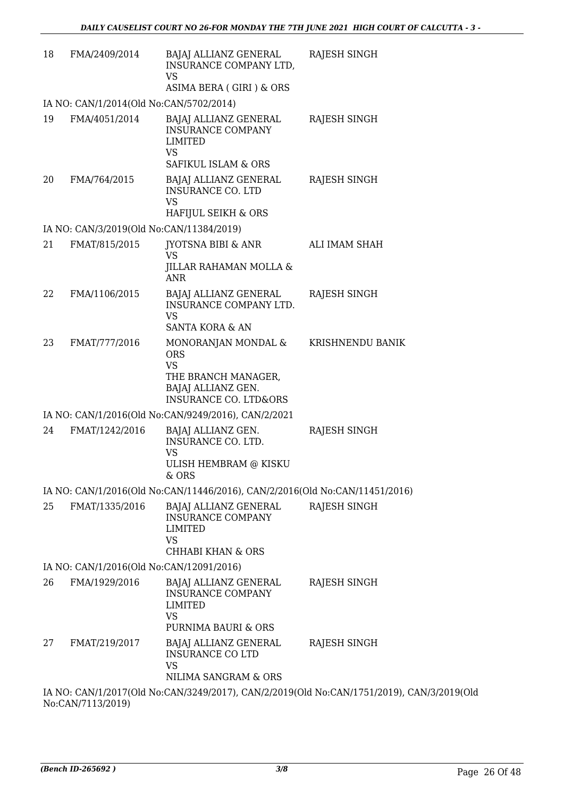| 18 | FMA/2409/2014                                             | BAJAJ ALLIANZ GENERAL<br>INSURANCE COMPANY LTD,<br><b>VS</b><br>ASIMA BERA (GIRI) & ORS                                         | RAJESH SINGH                                                                              |
|----|-----------------------------------------------------------|---------------------------------------------------------------------------------------------------------------------------------|-------------------------------------------------------------------------------------------|
|    | IA NO: CAN/1/2014(Old No:CAN/5702/2014)                   |                                                                                                                                 |                                                                                           |
| 19 | FMA/4051/2014                                             | BAJAJ ALLIANZ GENERAL<br><b>INSURANCE COMPANY</b><br><b>LIMITED</b><br><b>VS</b>                                                | RAJESH SINGH                                                                              |
|    |                                                           | SAFIKUL ISLAM & ORS                                                                                                             |                                                                                           |
| 20 | FMA/764/2015                                              | BAJAJ ALLIANZ GENERAL<br><b>INSURANCE CO. LTD</b><br><b>VS</b>                                                                  | RAJESH SINGH                                                                              |
|    |                                                           | HAFIJUL SEIKH & ORS                                                                                                             |                                                                                           |
| 21 | IA NO: CAN/3/2019(Old No:CAN/11384/2019)<br>FMAT/815/2015 | JYOTSNA BIBI & ANR                                                                                                              | ALI IMAM SHAH                                                                             |
|    |                                                           | <b>VS</b><br>JILLAR RAHAMAN MOLLA &<br><b>ANR</b>                                                                               |                                                                                           |
| 22 | FMA/1106/2015                                             | <b>BAJAJ ALLIANZ GENERAL</b><br>INSURANCE COMPANY LTD.<br><b>VS</b>                                                             | RAJESH SINGH                                                                              |
|    |                                                           | SANTA KORA & AN                                                                                                                 |                                                                                           |
| 23 | FMAT/777/2016                                             | MONORANJAN MONDAL &<br><b>ORS</b><br><b>VS</b><br>THE BRANCH MANAGER,<br>BAJAJ ALLIANZ GEN.<br><b>INSURANCE CO. LTD&amp;ORS</b> | KRISHNENDU BANIK                                                                          |
|    |                                                           | IA NO: CAN/1/2016(Old No:CAN/9249/2016), CAN/2/2021                                                                             |                                                                                           |
| 24 | FMAT/1242/2016                                            | BAJAJ ALLIANZ GEN.<br>INSURANCE CO. LTD.<br><b>VS</b><br>ULISH HEMBRAM @ KISKU                                                  | RAJESH SINGH                                                                              |
|    |                                                           | & ORS                                                                                                                           |                                                                                           |
|    |                                                           | IA NO: CAN/1/2016(Old No:CAN/11446/2016), CAN/2/2016(Old No:CAN/11451/2016)                                                     |                                                                                           |
| 25 | FMAT/1335/2016                                            | BAJAJ ALLIANZ GENERAL<br><b>INSURANCE COMPANY</b><br>LIMITED<br><b>VS</b><br><b>CHHABI KHAN &amp; ORS</b>                       | <b>RAJESH SINGH</b>                                                                       |
|    | IA NO: CAN/1/2016(Old No:CAN/12091/2016)                  |                                                                                                                                 |                                                                                           |
| 26 | FMA/1929/2016                                             | BAJAJ ALLIANZ GENERAL<br><b>INSURANCE COMPANY</b><br>LIMITED<br><b>VS</b>                                                       | RAJESH SINGH                                                                              |
|    |                                                           | PURNIMA BAURI & ORS                                                                                                             |                                                                                           |
| 27 | FMAT/219/2017                                             | BAJAJ ALLIANZ GENERAL<br><b>INSURANCE CO LTD</b><br><b>VS</b><br>NILIMA SANGRAM & ORS                                           | RAJESH SINGH                                                                              |
|    |                                                           |                                                                                                                                 | IA NO: CAN/1/2017(Old No:CAN/3249/2017), CAN/2/2019(Old No:CAN/1751/2019), CAN/3/2019(Old |
|    |                                                           |                                                                                                                                 |                                                                                           |

No:CAN/7113/2019)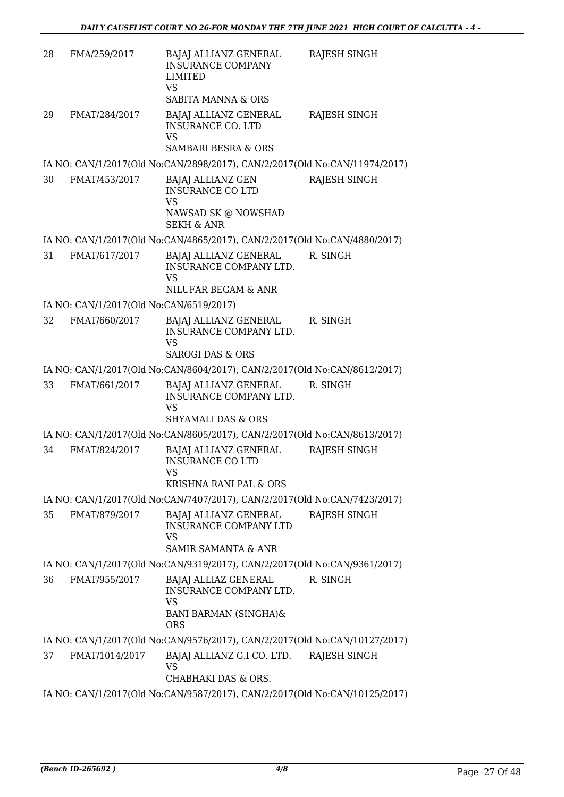| 28 | FMA/259/2017                            | BAJAJ ALLIANZ GENERAL<br><b>INSURANCE COMPANY</b><br>LIMITED<br><b>VS</b><br><b>SABITA MANNA &amp; ORS</b> | RAJESH SINGH        |
|----|-----------------------------------------|------------------------------------------------------------------------------------------------------------|---------------------|
| 29 | FMAT/284/2017                           | BAJAJ ALLIANZ GENERAL<br><b>INSURANCE CO. LTD</b><br><b>VS</b>                                             | <b>RAJESH SINGH</b> |
|    |                                         | <b>SAMBARI BESRA &amp; ORS</b>                                                                             |                     |
|    |                                         | IA NO: CAN/1/2017(Old No:CAN/2898/2017), CAN/2/2017(Old No:CAN/11974/2017)                                 |                     |
| 30 | FMAT/453/2017                           | BAJAJ ALLIANZ GEN<br><b>INSURANCE CO LTD</b><br><b>VS</b><br>NAWSAD SK @ NOWSHAD<br><b>SEKH &amp; ANR</b>  | <b>RAJESH SINGH</b> |
|    |                                         | IA NO: CAN/1/2017(Old No:CAN/4865/2017), CAN/2/2017(Old No:CAN/4880/2017)                                  |                     |
| 31 | FMAT/617/2017                           | BAJAJ ALLIANZ GENERAL<br>INSURANCE COMPANY LTD.<br><b>VS</b>                                               | R. SINGH            |
|    |                                         | NILUFAR BEGAM & ANR                                                                                        |                     |
|    | IA NO: CAN/1/2017(Old No:CAN/6519/2017) |                                                                                                            |                     |
| 32 | FMAT/660/2017                           | BAJAJ ALLIANZ GENERAL<br>INSURANCE COMPANY LTD.<br><b>VS</b>                                               | R. SINGH            |
|    |                                         | <b>SAROGI DAS &amp; ORS</b>                                                                                |                     |
|    |                                         | IA NO: CAN/1/2017(Old No:CAN/8604/2017), CAN/2/2017(Old No:CAN/8612/2017)                                  |                     |
| 33 | FMAT/661/2017                           | BAJAJ ALLIANZ GENERAL<br>INSURANCE COMPANY LTD.<br><b>VS</b><br><b>SHYAMALI DAS &amp; ORS</b>              | R. SINGH            |
|    |                                         | IA NO: CAN/1/2017(Old No:CAN/8605/2017), CAN/2/2017(Old No:CAN/8613/2017)                                  |                     |
| 34 | FMAT/824/2017                           | BAJAJ ALLIANZ GENERAL                                                                                      | RAJESH SINGH        |
|    |                                         | <b>INSURANCE CO LTD</b><br>VS<br>KRISHNA RANI PAL & ORS                                                    |                     |
|    |                                         | IA NO: CAN/1/2017(Old No:CAN/7407/2017), CAN/2/2017(Old No:CAN/7423/2017)                                  |                     |
| 35 | FMAT/879/2017                           | BAJAJ ALLIANZ GENERAL                                                                                      | RAJESH SINGH        |
|    |                                         | <b>INSURANCE COMPANY LTD</b><br><b>VS</b><br><b>SAMIR SAMANTA &amp; ANR</b>                                |                     |
|    |                                         | IA NO: CAN/1/2017(Old No:CAN/9319/2017), CAN/2/2017(Old No:CAN/9361/2017)                                  |                     |
| 36 | FMAT/955/2017                           | BAJAJ ALLIAZ GENERAL                                                                                       | R. SINGH            |
|    |                                         | INSURANCE COMPANY LTD.<br><b>VS</b>                                                                        |                     |
|    |                                         | BANI BARMAN (SINGHA)&<br><b>ORS</b>                                                                        |                     |
|    |                                         | IA NO: CAN/1/2017(Old No:CAN/9576/2017), CAN/2/2017(Old No:CAN/10127/2017)                                 |                     |
| 37 | FMAT/1014/2017                          | BAJAJ ALLIANZ G.I CO. LTD.                                                                                 | RAJESH SINGH        |
|    |                                         | <b>VS</b><br>CHABHAKI DAS & ORS.                                                                           |                     |
|    |                                         | IA NO: CAN/1/2017(Old No:CAN/9587/2017), CAN/2/2017(Old No:CAN/10125/2017)                                 |                     |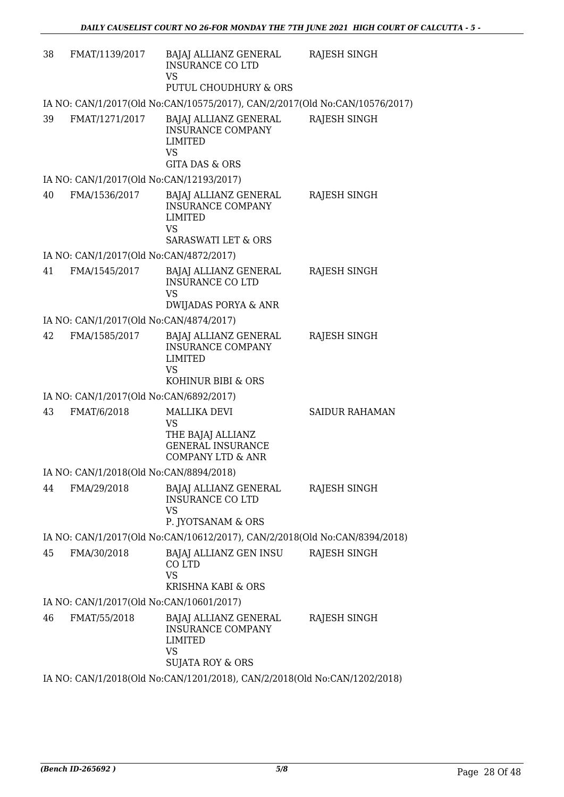| 38 | FMAT/1139/2017                           | BAJAJ ALLIANZ GENERAL<br><b>INSURANCE CO LTD</b><br><b>VS</b><br>PUTUL CHOUDHURY & ORS                             | RAJESH SINGH          |
|----|------------------------------------------|--------------------------------------------------------------------------------------------------------------------|-----------------------|
|    |                                          | IA NO: CAN/1/2017(Old No:CAN/10575/2017), CAN/2/2017(Old No:CAN/10576/2017)                                        |                       |
| 39 | FMAT/1271/2017                           | BAJAJ ALLIANZ GENERAL<br><b>INSURANCE COMPANY</b><br><b>LIMITED</b><br><b>VS</b><br><b>GITA DAS &amp; ORS</b>      | <b>RAJESH SINGH</b>   |
|    | IA NO: CAN/1/2017(Old No:CAN/12193/2017) |                                                                                                                    |                       |
| 40 | FMA/1536/2017                            | BAJAJ ALLIANZ GENERAL<br><b>INSURANCE COMPANY</b><br><b>LIMITED</b><br><b>VS</b><br><b>SARASWATI LET &amp; ORS</b> | RAJESH SINGH          |
|    | IA NO: CAN/1/2017(Old No:CAN/4872/2017)  |                                                                                                                    |                       |
| 41 | FMA/1545/2017                            | BAJAJ ALLIANZ GENERAL<br><b>INSURANCE CO LTD</b><br><b>VS</b><br>DWIJADAS PORYA & ANR                              | RAJESH SINGH          |
|    | IA NO: CAN/1/2017(Old No:CAN/4874/2017)  |                                                                                                                    |                       |
| 42 | FMA/1585/2017                            | BAJAJ ALLIANZ GENERAL<br><b>INSURANCE COMPANY</b><br><b>LIMITED</b><br><b>VS</b><br>KOHINUR BIBI & ORS             | <b>RAJESH SINGH</b>   |
|    | IA NO: CAN/1/2017(Old No:CAN/6892/2017)  |                                                                                                                    |                       |
| 43 | FMAT/6/2018                              | <b>MALLIKA DEVI</b><br><b>VS</b><br>THE BAJAJ ALLIANZ<br><b>GENERAL INSURANCE</b><br><b>COMPANY LTD &amp; ANR</b>  | <b>SAIDUR RAHAMAN</b> |
|    | IA NO: CAN/1/2018(Old No:CAN/8894/2018)  |                                                                                                                    |                       |
| 44 | FMA/29/2018                              | BAJAJ ALLIANZ GENERAL<br><b>INSURANCE CO LTD</b><br><b>VS</b><br>P. JYOTSANAM & ORS                                | RAJESH SINGH          |
|    |                                          | IA NO: CAN/1/2017(Old No:CAN/10612/2017), CAN/2/2018(Old No:CAN/8394/2018)                                         |                       |
| 45 | FMA/30/2018                              | BAJAJ ALLIANZ GEN INSU<br>CO LTD<br><b>VS</b><br>KRISHNA KABI & ORS                                                | RAJESH SINGH          |
|    | IA NO: CAN/1/2017(Old No:CAN/10601/2017) |                                                                                                                    |                       |
| 46 | FMAT/55/2018                             | BAJAJ ALLIANZ GENERAL<br><b>INSURANCE COMPANY</b><br><b>LIMITED</b><br><b>VS</b><br>SUJATA ROY & ORS               | RAJESH SINGH          |
|    |                                          | IA NO: CAN/1/2018(Old No:CAN/1201/2018), CAN/2/2018(Old No:CAN/1202/2018)                                          |                       |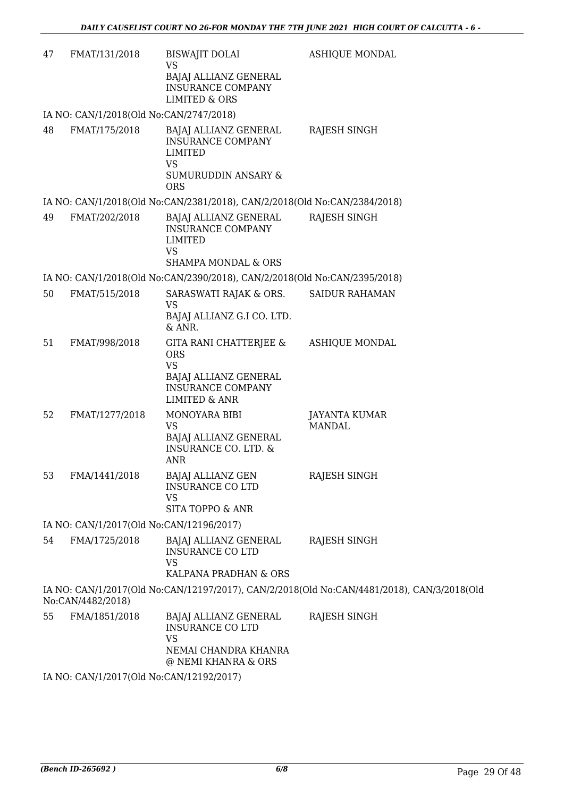| 47 | FMAT/131/2018                            | <b>BISWAJIT DOLAI</b><br><b>VS</b>                                                                                 | <b>ASHIQUE MONDAL</b>                                                                      |
|----|------------------------------------------|--------------------------------------------------------------------------------------------------------------------|--------------------------------------------------------------------------------------------|
|    |                                          | BAJAJ ALLIANZ GENERAL<br><b>INSURANCE COMPANY</b><br><b>LIMITED &amp; ORS</b>                                      |                                                                                            |
|    | IA NO: CAN/1/2018(Old No:CAN/2747/2018)  |                                                                                                                    |                                                                                            |
| 48 | FMAT/175/2018                            | BAJAJ ALLIANZ GENERAL<br><b>INSURANCE COMPANY</b><br><b>LIMITED</b><br><b>VS</b><br>SUMURUDDIN ANSARY &            | RAJESH SINGH                                                                               |
|    |                                          | <b>ORS</b>                                                                                                         |                                                                                            |
|    |                                          | IA NO: CAN/1/2018(Old No:CAN/2381/2018), CAN/2/2018(Old No:CAN/2384/2018)                                          |                                                                                            |
| 49 | FMAT/202/2018                            | BAJAJ ALLIANZ GENERAL<br><b>INSURANCE COMPANY</b><br><b>LIMITED</b><br><b>VS</b><br><b>SHAMPA MONDAL &amp; ORS</b> | RAJESH SINGH                                                                               |
|    |                                          | IA NO: CAN/1/2018(Old No:CAN/2390/2018), CAN/2/2018(Old No:CAN/2395/2018)                                          |                                                                                            |
| 50 | FMAT/515/2018                            | SARASWATI RAJAK & ORS.                                                                                             | <b>SAIDUR RAHAMAN</b>                                                                      |
|    |                                          | <b>VS</b><br>BAJAJ ALLIANZ G.I CO. LTD.<br>& ANR.                                                                  |                                                                                            |
| 51 | FMAT/998/2018                            | GITA RANI CHATTERJEE &<br><b>ORS</b><br><b>VS</b><br>BAJAJ ALLIANZ GENERAL<br><b>INSURANCE COMPANY</b>             | <b>ASHIQUE MONDAL</b>                                                                      |
| 52 | FMAT/1277/2018                           | <b>LIMITED &amp; ANR</b><br>MONOYARA BIBI                                                                          | <b>JAYANTA KUMAR</b>                                                                       |
|    |                                          | <b>VS</b><br><b>BAJAJ ALLIANZ GENERAL</b><br><b>INSURANCE CO. LTD. &amp;</b><br><b>ANR</b>                         | <b>MANDAL</b>                                                                              |
| 53 | FMA/1441/2018                            | <b>BAJAJ ALLIANZ GEN</b><br><b>INSURANCE CO LTD</b><br><b>VS</b>                                                   | RAJESH SINGH                                                                               |
|    |                                          | <b>SITA TOPPO &amp; ANR</b>                                                                                        |                                                                                            |
|    | IA NO: CAN/1/2017(Old No:CAN/12196/2017) |                                                                                                                    |                                                                                            |
| 54 | FMA/1725/2018                            | BAJAJ ALLIANZ GENERAL<br><b>INSURANCE CO LTD</b><br><b>VS</b>                                                      | RAJESH SINGH                                                                               |
|    |                                          | KALPANA PRADHAN & ORS                                                                                              |                                                                                            |
|    | No:CAN/4482/2018)                        |                                                                                                                    | IA NO: CAN/1/2017(Old No:CAN/12197/2017), CAN/2/2018(Old No:CAN/4481/2018), CAN/3/2018(Old |
| 55 | FMA/1851/2018                            | BAJAJ ALLIANZ GENERAL<br><b>INSURANCE CO LTD</b><br><b>VS</b><br>NEMAI CHANDRA KHANRA                              | RAJESH SINGH                                                                               |
|    |                                          | @ NEMI KHANRA & ORS                                                                                                |                                                                                            |
|    | IA NO: CAN/1/2017(Old No:CAN/12192/2017) |                                                                                                                    |                                                                                            |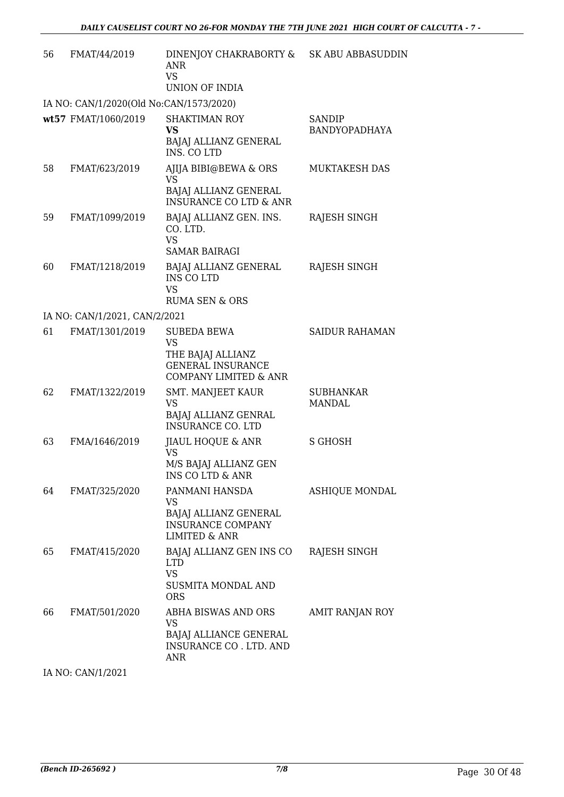| 56 | FMAT/44/2019                            | DINENJOY CHAKRABORTY &<br><b>ANR</b><br><b>VS</b><br><b>UNION OF INDIA</b>                                           | SK ABU ABBASUDDIN                 |
|----|-----------------------------------------|----------------------------------------------------------------------------------------------------------------------|-----------------------------------|
|    | IA NO: CAN/1/2020(Old No:CAN/1573/2020) |                                                                                                                      |                                   |
|    | wt57 FMAT/1060/2019                     | <b>SHAKTIMAN ROY</b><br><b>VS</b><br>BAJAJ ALLIANZ GENERAL<br>INS. CO LTD                                            | SANDIP<br><b>BANDYOPADHAYA</b>    |
| 58 | FMAT/623/2019                           | AJIJA BIBI@BEWA & ORS<br><b>VS</b><br>BAJAJ ALLIANZ GENERAL<br><b>INSURANCE CO LTD &amp; ANR</b>                     | MUKTAKESH DAS                     |
| 59 | FMAT/1099/2019                          | BAJAJ ALLIANZ GEN. INS.<br>CO. LTD.<br><b>VS</b><br><b>SAMAR BAIRAGI</b>                                             | RAJESH SINGH                      |
| 60 | FMAT/1218/2019                          | BAJAJ ALLIANZ GENERAL<br><b>INS COLTD</b><br><b>VS</b><br><b>RUMA SEN &amp; ORS</b>                                  | RAJESH SINGH                      |
|    | IA NO: CAN/1/2021, CAN/2/2021           |                                                                                                                      |                                   |
| 61 | FMAT/1301/2019                          | <b>SUBEDA BEWA</b><br><b>VS</b><br>THE BAJAJ ALLIANZ<br><b>GENERAL INSURANCE</b><br><b>COMPANY LIMITED &amp; ANR</b> | <b>SAIDUR RAHAMAN</b>             |
| 62 | FMAT/1322/2019                          | <b>SMT. MANJEET KAUR</b><br><b>VS</b><br>BAJAJ ALLIANZ GENRAL<br><b>INSURANCE CO. LTD</b>                            | <b>SUBHANKAR</b><br><b>MANDAL</b> |
| 63 | FMA/1646/2019                           | <b>JIAUL HOQUE &amp; ANR</b><br><b>VS</b><br>M/S BAJAJ ALLIANZ GEN<br><b>INS CO LTD &amp; ANR</b>                    | S GHOSH                           |
| 64 | FMAT/325/2020                           | PANMANI HANSDA<br>VS<br>BAJAJ ALLIANZ GENERAL<br><b>INSURANCE COMPANY</b><br><b>LIMITED &amp; ANR</b>                | <b>ASHIQUE MONDAL</b>             |
| 65 | FMAT/415/2020                           | BAJAJ ALLIANZ GEN INS CO<br><b>LTD</b><br><b>VS</b><br><b>SUSMITA MONDAL AND</b><br><b>ORS</b>                       | RAJESH SINGH                      |
| 66 | FMAT/501/2020                           | ABHA BISWAS AND ORS<br><b>VS</b><br>BAJAJ ALLIANCE GENERAL<br>INSURANCE CO. LTD. AND<br><b>ANR</b>                   | AMIT RANJAN ROY                   |

IA NO: CAN/1/2021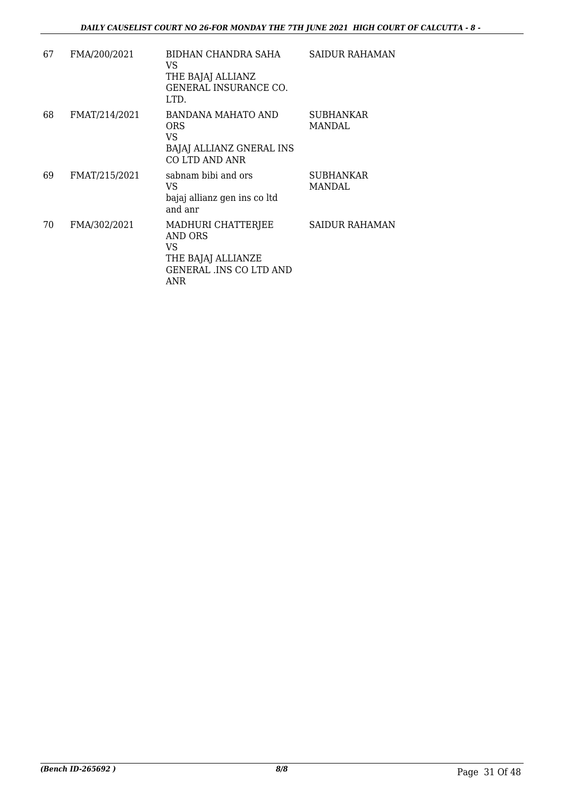| 67 | FMA/200/2021  | BIDHAN CHANDRA SAHA<br>VS.<br>THE BAJAJ ALLIANZ<br>GENERAL INSURANCE CO.<br>LTD.                   | SAIDUR RAHAMAN             |
|----|---------------|----------------------------------------------------------------------------------------------------|----------------------------|
| 68 | FMAT/214/2021 | BANDANA MAHATO AND<br><b>ORS</b><br>VS.<br><b>BAJAJ ALLIANZ GNERAL INS</b><br>CO LTD AND ANR       | <b>SUBHANKAR</b><br>MANDAL |
| 69 | FMAT/215/2021 | sabnam bibi and ors<br>VS<br>bajaj allianz gen ins co ltd<br>and anr                               | <b>SUBHANKAR</b><br>MANDAL |
| 70 | FMA/302/2021  | MADHURI CHATTERJEE<br>AND ORS<br>VS<br>THE BAJAJ ALLIANZE<br><b>GENERAL .INS CO LTD AND</b><br>ANR | SAIDUR RAHAMAN             |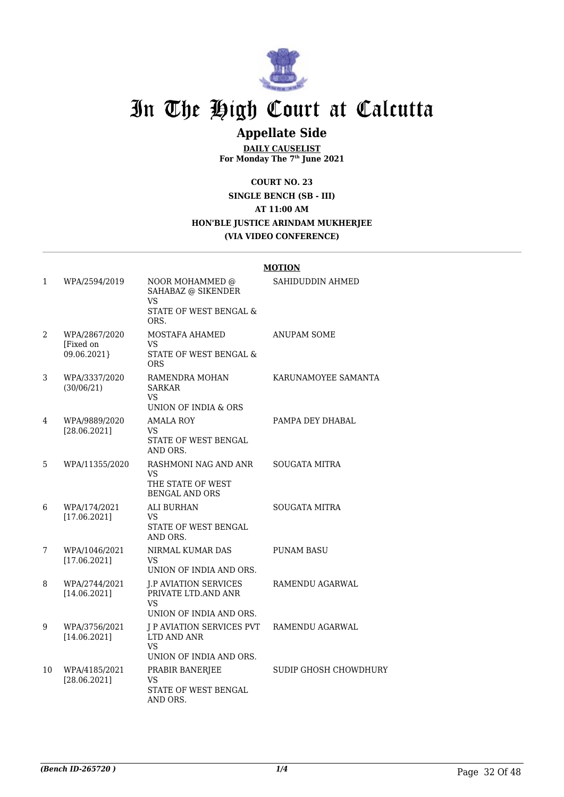

### **Appellate Side**

**DAILY CAUSELIST For Monday The 7th June 2021**

**COURT NO. 23**

**SINGLE BENCH (SB - III) AT 11:00 AM HON'BLE JUSTICE ARINDAM MUKHERJEE (VIA VIDEO CONFERENCE)**

|    |                                           |                                                                                       | <u>MUTION</u>                |
|----|-------------------------------------------|---------------------------------------------------------------------------------------|------------------------------|
| 1  | WPA/2594/2019                             | NOOR MOHAMMED @<br>SAHABAZ @ SIKENDER<br>VS.                                          | SAHIDUDDIN AHMED             |
|    |                                           | STATE OF WEST BENGAL &<br>ORS.                                                        |                              |
| 2  | WPA/2867/2020<br>[Fixed on<br>09.06.2021} | MOSTAFA AHAMED<br>VS<br>STATE OF WEST BENGAL &<br><b>ORS</b>                          | ANUPAM SOME                  |
| 3  | WPA/3337/2020<br>(30/06/21)               | RAMENDRA MOHAN<br><b>SARKAR</b><br>VS.<br>UNION OF INDIA & ORS                        | KARUNAMOYEE SAMANTA          |
| 4  | WPA/9889/2020<br>[28.06.2021]             | AMALA ROY<br>VS.<br>STATE OF WEST BENGAL<br>AND ORS.                                  | PAMPA DEY DHABAL             |
| 5  | WPA/11355/2020                            | RASHMONI NAG AND ANR<br>VS<br>THE STATE OF WEST<br><b>BENGAL AND ORS</b>              | SOUGATA MITRA                |
| 6  | WPA/174/2021<br>[17.06.2021]              | <b>ALI BURHAN</b><br><b>VS</b><br>STATE OF WEST BENGAL<br>AND ORS.                    | <b>SOUGATA MITRA</b>         |
| 7  | WPA/1046/2021<br>[17.06.2021]             | NIRMAL KUMAR DAS<br>VS<br>UNION OF INDIA AND ORS.                                     | <b>PUNAM BASU</b>            |
| 8  | WPA/2744/2021<br>[14.06.2021]             | <b>I.P AVIATION SERVICES</b><br>PRIVATE LTD.AND ANR<br>VS.<br>UNION OF INDIA AND ORS. | RAMENDU AGARWAL              |
| 9  | WPA/3756/2021<br>[14.06.2021]             | J P AVIATION SERVICES PVT<br>LTD AND ANR<br><b>VS</b><br>UNION OF INDIA AND ORS.      | RAMENDU AGARWAL              |
| 10 | WPA/4185/2021<br>[28.06.2021]             | PRABIR BANERJEE<br>VS<br>STATE OF WEST BENGAL<br>AND ORS.                             | <b>SUDIP GHOSH CHOWDHURY</b> |

#### **MOTION**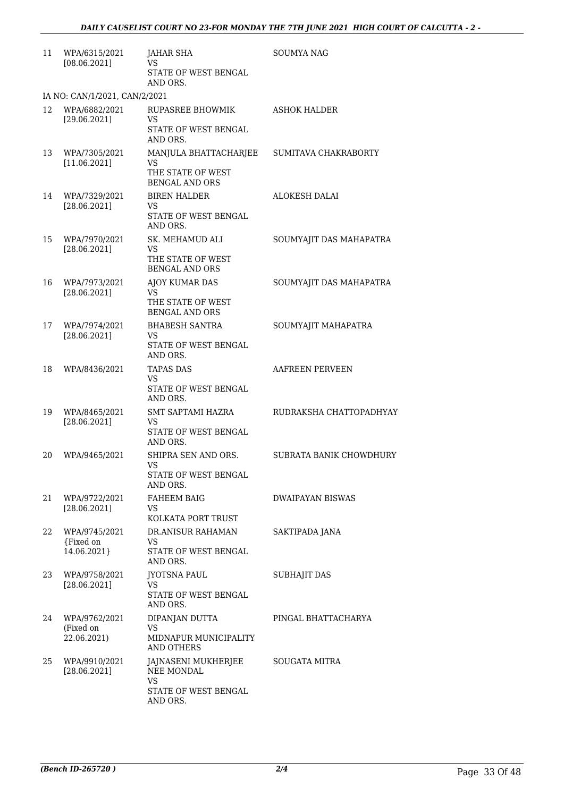| 11 | WPA/6315/2021<br>[08.06.2021]             | <b>JAHAR SHA</b><br>VS<br>STATE OF WEST BENGAL<br>AND ORS.                    | <b>SOUMYA NAG</b>       |
|----|-------------------------------------------|-------------------------------------------------------------------------------|-------------------------|
|    | IA NO: CAN/1/2021, CAN/2/2021             |                                                                               |                         |
| 12 | WPA/6882/2021<br>[29.06.2021]             | RUPASREE BHOWMIK<br>VS<br>STATE OF WEST BENGAL<br>AND ORS.                    | <b>ASHOK HALDER</b>     |
| 13 | WPA/7305/2021<br>[11.06.2021]             | MANJULA BHATTACHARJEE<br>VS<br>THE STATE OF WEST<br><b>BENGAL AND ORS</b>     | SUMITAVA CHAKRABORTY    |
| 14 | WPA/7329/2021<br>[28.06.2021]             | <b>BIREN HALDER</b><br>VS<br>STATE OF WEST BENGAL<br>AND ORS.                 | <b>ALOKESH DALAI</b>    |
| 15 | WPA/7970/2021<br>[28.06.2021]             | SK. MEHAMUD ALI<br>VS.<br>THE STATE OF WEST<br><b>BENGAL AND ORS</b>          | SOUMYAJIT DAS MAHAPATRA |
| 16 | WPA/7973/2021<br>[28.06.2021]             | AJOY KUMAR DAS<br>VS<br>THE STATE OF WEST                                     | SOUMYAJIT DAS MAHAPATRA |
| 17 | WPA/7974/2021<br>[28.06.2021]             | <b>BENGAL AND ORS</b><br><b>BHABESH SANTRA</b><br>VS.<br>STATE OF WEST BENGAL | SOUMYAJIT MAHAPATRA     |
| 18 | WPA/8436/2021                             | AND ORS.<br><b>TAPAS DAS</b><br>VS<br>STATE OF WEST BENGAL<br>AND ORS.        | AAFREEN PERVEEN         |
| 19 | WPA/8465/2021<br>[28.06.2021]             | SMT SAPTAMI HAZRA<br><b>VS</b><br>STATE OF WEST BENGAL<br>AND ORS.            | RUDRAKSHA CHATTOPADHYAY |
| 20 | WPA/9465/2021                             | SHIPRA SEN AND ORS.<br>VS<br>STATE OF WEST BENGAL<br>AND ORS.                 | SUBRATA BANIK CHOWDHURY |
| 21 | WPA/9722/2021<br>[28.06.2021]             | FAHEEM BAIG<br>VS<br>KOLKATA PORT TRUST                                       | DWAIPAYAN BISWAS        |
| 22 | WPA/9745/2021<br>{Fixed on<br>14.06.2021} | DR.ANISUR RAHAMAN<br>VS<br>STATE OF WEST BENGAL<br>AND ORS.                   | SAKTIPADA JANA          |
| 23 | WPA/9758/2021<br>[28.06.2021]             | <b>JYOTSNA PAUL</b><br>VS<br>STATE OF WEST BENGAL<br>AND ORS.                 | <b>SUBHAJIT DAS</b>     |
| 24 | WPA/9762/2021<br>(Fixed on<br>22.06.2021) | DIPANJAN DUTTA<br>VS.<br>MIDNAPUR MUNICIPALITY<br>AND OTHERS                  | PINGAL BHATTACHARYA     |
| 25 | WPA/9910/2021<br>[28.06.2021]             | JAJNASENI MUKHERJEE<br>NEE MONDAL<br>VS.<br>STATE OF WEST BENGAL<br>AND ORS.  | SOUGATA MITRA           |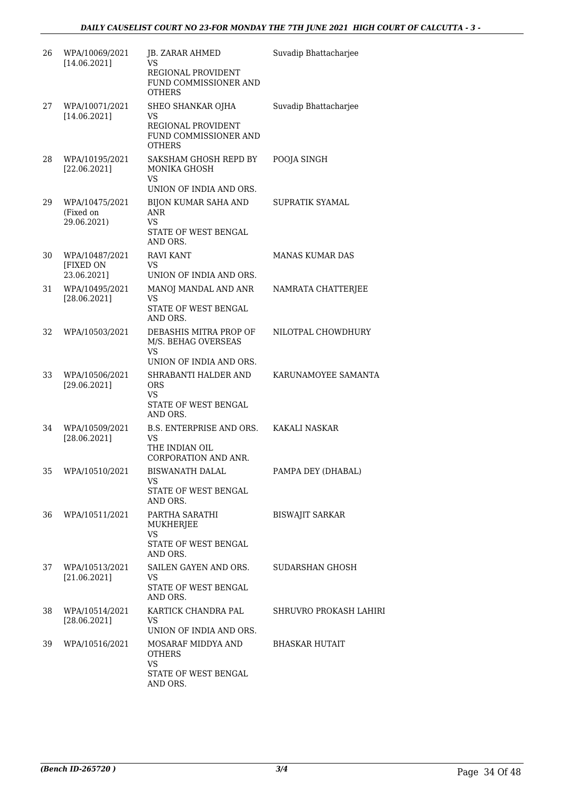| 26 | WPA/10069/2021<br>[14.06.2021]                    | JB. ZARAR AHMED<br>VS<br>REGIONAL PROVIDENT<br>FUND COMMISSIONER AND<br><b>OTHERS</b>             | Suvadip Bhattacharjee  |
|----|---------------------------------------------------|---------------------------------------------------------------------------------------------------|------------------------|
| 27 | WPA/10071/2021<br>[14.06.2021]                    | SHEO SHANKAR OJHA<br><b>VS</b><br>REGIONAL PROVIDENT<br>FUND COMMISSIONER AND<br><b>OTHERS</b>    | Suvadip Bhattacharjee  |
| 28 | WPA/10195/2021<br>[22.06.2021]                    | SAKSHAM GHOSH REPD BY<br>MONIKA GHOSH<br><b>VS</b>                                                | POOJA SINGH            |
| 29 | WPA/10475/2021<br>(Fixed on<br>29.06.2021)        | UNION OF INDIA AND ORS.<br>BIJON KUMAR SAHA AND<br>ANR<br>VS.<br>STATE OF WEST BENGAL<br>AND ORS. | <b>SUPRATIK SYAMAL</b> |
| 30 | WPA/10487/2021<br><b>[FIXED ON</b><br>23.06.2021] | <b>RAVI KANT</b><br>VS<br>UNION OF INDIA AND ORS.                                                 | MANAS KUMAR DAS        |
| 31 | WPA/10495/2021<br>[28.06.2021]                    | MANOJ MANDAL AND ANR<br>VS<br><b>STATE OF WEST BENGAL</b><br>AND ORS.                             | NAMRATA CHATTERJEE     |
| 32 | WPA/10503/2021                                    | DEBASHIS MITRA PROP OF<br>M/S. BEHAG OVERSEAS<br><b>VS</b><br>UNION OF INDIA AND ORS.             | NILOTPAL CHOWDHURY     |
| 33 | WPA/10506/2021<br>[29.06.2021]                    | SHRABANTI HALDER AND<br>ORS<br><b>VS</b><br>STATE OF WEST BENGAL<br>AND ORS.                      | KARUNAMOYEE SAMANTA    |
| 34 | WPA/10509/2021<br>[28.06.2021]                    | B.S. ENTERPRISE AND ORS.<br><b>VS</b><br>THE INDIAN OIL<br>CORPORATION AND ANR.                   | KAKALI NASKAR          |
| 35 | WPA/10510/2021                                    | BISWANATH DALAL<br>VS<br>STATE OF WEST BENGAL<br>AND ORS.                                         | PAMPA DEY (DHABAL)     |
| 36 | WPA/10511/2021                                    | PARTHA SARATHI<br>MUKHERJEE<br>VS<br>STATE OF WEST BENGAL<br>AND ORS.                             | <b>BISWAJIT SARKAR</b> |
| 37 | WPA/10513/2021<br>[21.06.2021]                    | SAILEN GAYEN AND ORS.<br><b>VS</b><br>STATE OF WEST BENGAL<br>AND ORS.                            | SUDARSHAN GHOSH        |
| 38 | WPA/10514/2021<br>[28.06.2021]                    | KARTICK CHANDRA PAL<br>VS<br>UNION OF INDIA AND ORS.                                              | SHRUVRO PROKASH LAHIRI |
| 39 | WPA/10516/2021                                    | MOSARAF MIDDYA AND<br><b>OTHERS</b><br><b>VS</b><br>STATE OF WEST BENGAL<br>AND ORS.              | BHASKAR HUTAIT         |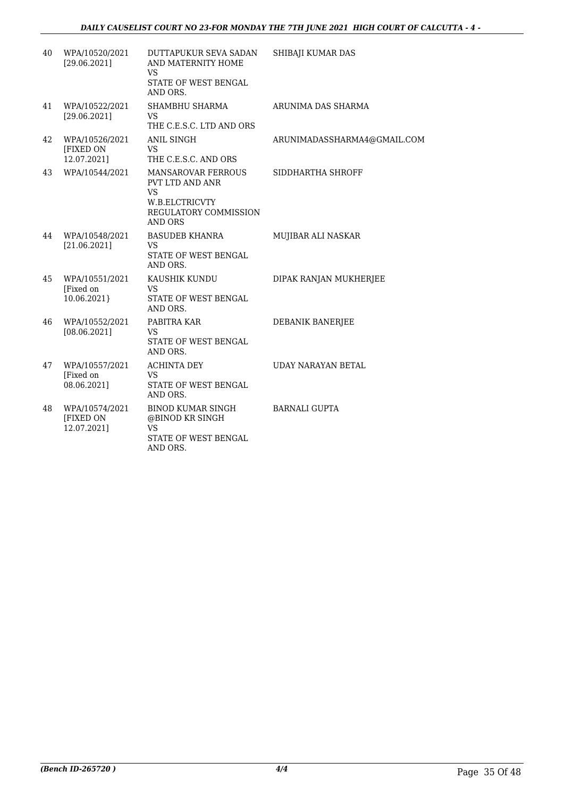| 40 | WPA/10520/2021<br>[29.06.2021]             | DUTTAPUKUR SEVA SADAN<br>AND MATERNITY HOME<br>VS<br>STATE OF WEST BENGAL<br>AND ORS.                           | SHIBAJI KUMAR DAS           |
|----|--------------------------------------------|-----------------------------------------------------------------------------------------------------------------|-----------------------------|
| 41 | WPA/10522/2021<br>[29.06.2021]             | SHAMBHU SHARMA<br><b>VS</b><br>THE C.E.S.C. LTD AND ORS                                                         | ARUNIMA DAS SHARMA          |
| 42 | WPA/10526/2021<br>[FIXED ON<br>12.07.2021] | ANIL SINGH<br><b>VS</b><br>THE C.E.S.C. AND ORS                                                                 | ARUNIMADASSHARMA4@GMAIL.COM |
| 43 | WPA/10544/2021                             | MANSAROVAR FERROUS<br>PVT LTD AND ANR<br><b>VS</b><br>W.B.ELCTRICVTY<br>REGULATORY COMMISSION<br><b>AND ORS</b> | SIDDHARTHA SHROFF           |
| 44 | WPA/10548/2021<br>[21.06.2021]             | <b>BASUDEB KHANRA</b><br>VS<br>STATE OF WEST BENGAL<br>AND ORS.                                                 | MUJIBAR ALI NASKAR          |
| 45 | WPA/10551/2021<br>[Fixed on<br>10.06.2021} | KAUSHIK KUNDU<br><b>VS</b><br>STATE OF WEST BENGAL<br>AND ORS.                                                  | DIPAK RANJAN MUKHERJEE      |
| 46 | WPA/10552/2021<br>[08.06.2021]             | PABITRA KAR<br><b>VS</b><br>STATE OF WEST BENGAL<br>AND ORS.                                                    | DEBANIK BANERJEE            |
| 47 | WPA/10557/2021<br>[Fixed on<br>08.06.2021] | <b>ACHINTA DEY</b><br>VS.<br>STATE OF WEST BENGAL<br>AND ORS.                                                   | <b>UDAY NARAYAN BETAL</b>   |
| 48 | WPA/10574/2021<br>[FIXED ON<br>12.07.2021] | <b>BINOD KUMAR SINGH</b><br>@BINOD KR SINGH<br><b>VS</b><br>STATE OF WEST BENGAL<br>AND ORS.                    | <b>BARNALI GUPTA</b>        |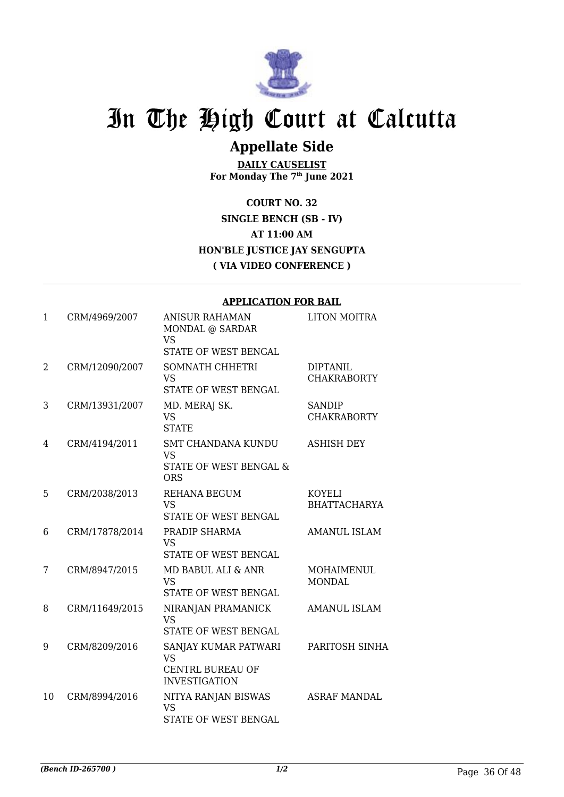

### **Appellate Side**

**DAILY CAUSELIST For Monday The 7th June 2021**

**COURT NO. 32 SINGLE BENCH (SB - IV) AT 11:00 AM HON'BLE JUSTICE JAY SENGUPTA ( VIA VIDEO CONFERENCE )**

|    |                | APPLICATION FOR BAIL                                                                 |                                       |
|----|----------------|--------------------------------------------------------------------------------------|---------------------------------------|
| 1  | CRM/4969/2007  | <b>ANISUR RAHAMAN</b><br>MONDAL @ SARDAR<br><b>VS</b><br>STATE OF WEST BENGAL        | <b>LITON MOITRA</b>                   |
| 2  | CRM/12090/2007 | SOMNATH CHHETRI<br><b>VS</b><br>STATE OF WEST BENGAL                                 | <b>DIPTANIL</b><br><b>CHAKRABORTY</b> |
| 3  | CRM/13931/2007 | MD. MERAJ SK.<br><b>VS</b><br><b>STATE</b>                                           | <b>SANDIP</b><br><b>CHAKRABORTY</b>   |
| 4  | CRM/4194/2011  | SMT CHANDANA KUNDU<br><b>VS</b><br>STATE OF WEST BENGAL &<br><b>ORS</b>              | <b>ASHISH DEY</b>                     |
| 5  | CRM/2038/2013  | <b>REHANA BEGUM</b><br><b>VS</b><br>STATE OF WEST BENGAL                             | <b>KOYELI</b><br><b>BHATTACHARYA</b>  |
| 6  | CRM/17878/2014 | PRADIP SHARMA<br><b>VS</b><br>STATE OF WEST BENGAL                                   | <b>AMANUL ISLAM</b>                   |
| 7  | CRM/8947/2015  | MD BABUL ALI & ANR<br><b>VS</b><br>STATE OF WEST BENGAL                              | <b>MOHAIMENUL</b><br><b>MONDAL</b>    |
| 8  | CRM/11649/2015 | NIRANJAN PRAMANICK<br><b>VS</b><br>STATE OF WEST BENGAL                              | <b>AMANUL ISLAM</b>                   |
| 9  | CRM/8209/2016  | SANJAY KUMAR PATWARI<br><b>VS</b><br><b>CENTRL BUREAU OF</b><br><b>INVESTIGATION</b> | PARITOSH SINHA                        |
| 10 | CRM/8994/2016  | NITYA RANJAN BISWAS<br><b>VS</b><br>STATE OF WEST BENGAL                             | <b>ASRAF MANDAL</b>                   |

#### **APPLICATION FOR BAIL**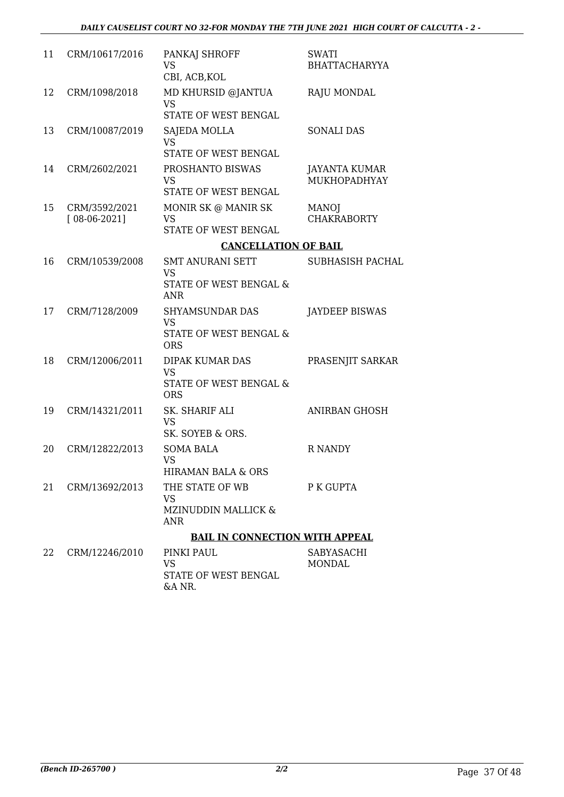| 11 | CRM/10617/2016                  | PANKAJ SHROFF<br>VS<br>CBI, ACB, KOL                                                    | <b>SWATI</b><br><b>BHATTACHARYYA</b> |
|----|---------------------------------|-----------------------------------------------------------------------------------------|--------------------------------------|
| 12 | CRM/1098/2018                   | MD KHURSID @JANTUA<br>VS<br>STATE OF WEST BENGAL                                        | RAJU MONDAL                          |
| 13 | CRM/10087/2019                  | SAJEDA MOLLA<br><b>VS</b><br>STATE OF WEST BENGAL                                       | <b>SONALI DAS</b>                    |
| 14 | CRM/2602/2021                   | PROSHANTO BISWAS<br><b>VS</b><br>STATE OF WEST BENGAL                                   | <b>JAYANTA KUMAR</b><br>MUKHOPADHYAY |
| 15 | CRM/3592/2021<br>$[08-06-2021]$ | MONIR SK @ MANIR SK<br>VS<br>STATE OF WEST BENGAL                                       | <b>MANOJ</b><br><b>CHAKRABORTY</b>   |
|    |                                 | <b>CANCELLATION OF BAIL</b>                                                             |                                      |
| 16 | CRM/10539/2008                  | <b>SMT ANURANI SETT</b><br><b>VS</b><br><b>STATE OF WEST BENGAL &amp;</b><br><b>ANR</b> | <b>SUBHASISH PACHAL</b>              |
| 17 | CRM/7128/2009                   | <b>SHYAMSUNDAR DAS</b><br><b>VS</b><br>STATE OF WEST BENGAL &<br><b>ORS</b>             | <b>JAYDEEP BISWAS</b>                |
| 18 | CRM/12006/2011                  | <b>DIPAK KUMAR DAS</b><br><b>VS</b><br>STATE OF WEST BENGAL &<br><b>ORS</b>             | PRASENJIT SARKAR                     |
| 19 | CRM/14321/2011                  | SK. SHARIF ALI<br><b>VS</b><br>SK. SOYEB & ORS.                                         | <b>ANIRBAN GHOSH</b>                 |
| 20 | CRM/12822/2013                  | <b>SOMA BALA</b><br><b>VS</b><br><b>HIRAMAN BALA &amp; ORS</b>                          | <b>R NANDY</b>                       |
| 21 | CRM/13692/2013                  | THE STATE OF WB<br><b>VS</b><br>MZINUDDIN MALLICK &<br><b>ANR</b>                       | P K GUPTA                            |
|    |                                 | <b>BAIL IN CONNECTION WITH APPEAL</b>                                                   |                                      |
| 22 | CRM/12246/2010                  | PINKI PAUL<br><b>VS</b><br>STATE OF WEST BENGAL<br>&A NR.                               | SABYASACHI<br><b>MONDAL</b>          |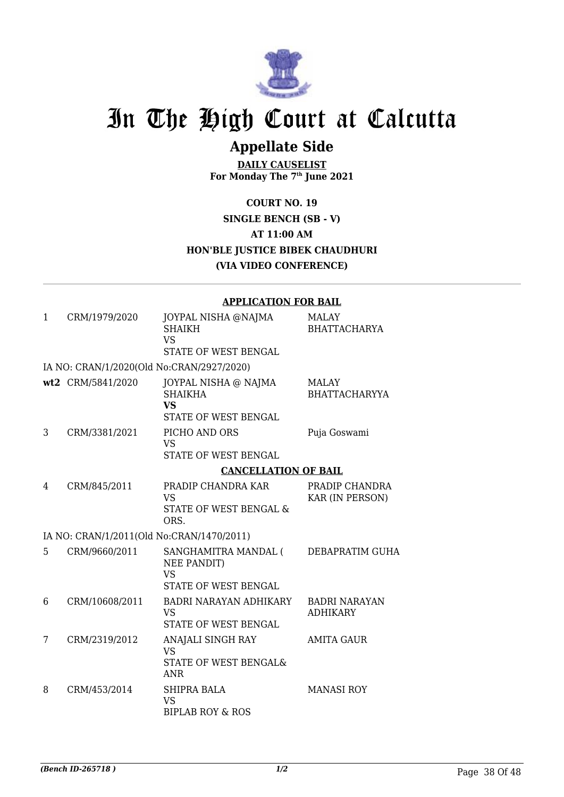

## **Appellate Side**

**DAILY CAUSELIST For Monday The 7th June 2021**

**COURT NO. 19 SINGLE BENCH (SB - V) AT 11:00 AM HON'BLE JUSTICE BIBEK CHAUDHURI (VIA VIDEO CONFERENCE)**

#### **APPLICATION FOR BAIL**

| 1 | CRM/1979/2020                             | JOYPAL NISHA @NAJMA<br><b>SHAIKH</b><br><b>VS</b><br><b>STATE OF WEST BENGAL</b>   | MALAY<br><b>BHATTACHARYA</b>            |
|---|-------------------------------------------|------------------------------------------------------------------------------------|-----------------------------------------|
|   | IA NO: CRAN/1/2020(Old No:CRAN/2927/2020) |                                                                                    |                                         |
|   | wt2 CRM/5841/2020                         | JOYPAL NISHA @ NAJMA<br><b>SHAIKHA</b><br><b>VS</b><br><b>STATE OF WEST BENGAL</b> | <b>MALAY</b><br><b>BHATTACHARYYA</b>    |
| 3 | CRM/3381/2021                             | PICHO AND ORS<br><b>VS</b><br>STATE OF WEST BENGAL                                 | Puja Goswami                            |
|   |                                           | <b>CANCELLATION OF BAIL</b>                                                        |                                         |
| 4 | CRM/845/2011                              | PRADIP CHANDRA KAR<br><b>VS</b><br><b>STATE OF WEST BENGAL &amp;</b><br>ORS.       | PRADIP CHANDRA<br>KAR (IN PERSON)       |
|   | IA NO: CRAN/1/2011(Old No:CRAN/1470/2011) |                                                                                    |                                         |
| 5 | CRM/9660/2011                             | SANGHAMITRA MANDAL (<br><b>NEE PANDIT)</b><br><b>VS</b><br>STATE OF WEST BENGAL    | DEBAPRATIM GUHA                         |
| 6 | CRM/10608/2011                            | BADRI NARAYAN ADHIKARY<br><b>VS</b><br>STATE OF WEST BENGAL                        | <b>BADRI NARAYAN</b><br><b>ADHIKARY</b> |
| 7 | CRM/2319/2012                             | ANAJALI SINGH RAY<br><b>VS</b><br>STATE OF WEST BENGAL&<br><b>ANR</b>              | <b>AMITA GAUR</b>                       |
| 8 | CRM/453/2014                              | <b>SHIPRA BALA</b><br><b>VS</b><br><b>BIPLAB ROY &amp; ROS</b>                     | <b>MANASI ROY</b>                       |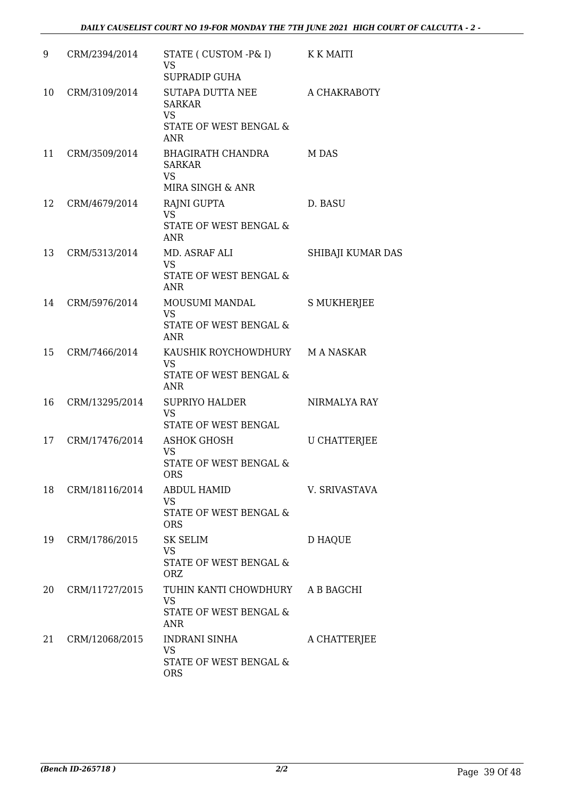| 9  | CRM/2394/2014  | STATE ( CUSTOM -P& I)<br><b>VS</b><br><b>SUPRADIP GUHA</b>                                    | K K MAITI           |
|----|----------------|-----------------------------------------------------------------------------------------------|---------------------|
| 10 | CRM/3109/2014  | <b>SUTAPA DUTTA NEE</b><br><b>SARKAR</b><br><b>VS</b><br>STATE OF WEST BENGAL &<br><b>ANR</b> | A CHAKRABOTY        |
| 11 | CRM/3509/2014  | BHAGIRATH CHANDRA<br><b>SARKAR</b><br><b>VS</b><br>MIRA SINGH & ANR                           | M DAS               |
| 12 | CRM/4679/2014  | RAJNI GUPTA<br><b>VS</b><br>STATE OF WEST BENGAL &<br><b>ANR</b>                              | D. BASU             |
| 13 | CRM/5313/2014  | MD. ASRAF ALI<br><b>VS</b><br>STATE OF WEST BENGAL &<br><b>ANR</b>                            | SHIBAJI KUMAR DAS   |
| 14 | CRM/5976/2014  | MOUSUMI MANDAL<br><b>VS</b><br>STATE OF WEST BENGAL &<br><b>ANR</b>                           | <b>S MUKHERJEE</b>  |
| 15 | CRM/7466/2014  | KAUSHIK ROYCHOWDHURY M A NASKAR<br><b>VS</b><br>STATE OF WEST BENGAL &<br><b>ANR</b>          |                     |
| 16 | CRM/13295/2014 | <b>SUPRIYO HALDER</b><br><b>VS</b><br><b>STATE OF WEST BENGAL</b>                             | NIRMALYA RAY        |
| 17 | CRM/17476/2014 | <b>ASHOK GHOSH</b><br><b>VS</b><br>STATE OF WEST BENGAL &<br><b>ORS</b>                       | <b>U CHATTERJEE</b> |
| 18 | CRM/18116/2014 | <b>ABDUL HAMID</b><br><b>VS</b><br>STATE OF WEST BENGAL &<br><b>ORS</b>                       | V. SRIVASTAVA       |
| 19 | CRM/1786/2015  | <b>SK SELIM</b><br><b>VS</b><br><b>STATE OF WEST BENGAL &amp;</b><br><b>ORZ</b>               | <b>D HAQUE</b>      |
| 20 | CRM/11727/2015 | TUHIN KANTI CHOWDHURY<br><b>VS</b><br>STATE OF WEST BENGAL &<br><b>ANR</b>                    | A B BAGCHI          |
| 21 | CRM/12068/2015 | INDRANI SINHA<br><b>VS</b><br>STATE OF WEST BENGAL &<br>ORS                                   | A CHATTERJEE        |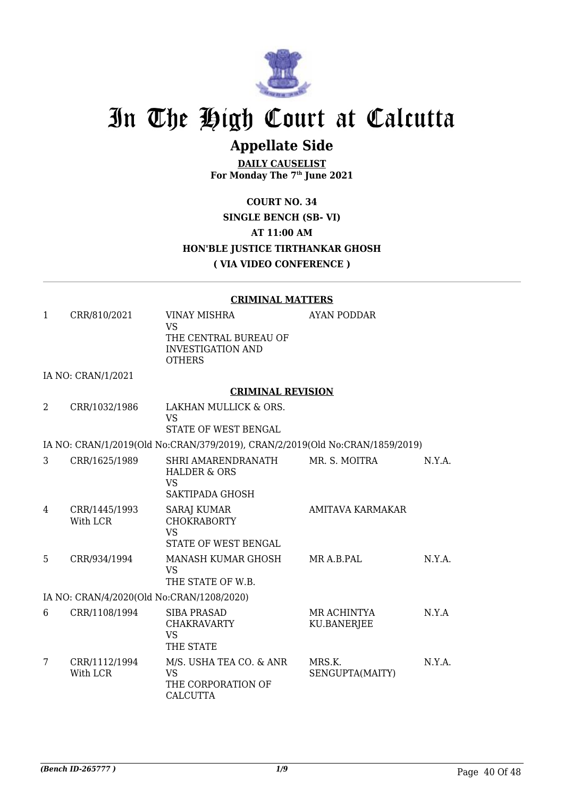

## **Appellate Side**

**DAILY CAUSELIST For Monday The 7th June 2021**

#### **COURT NO. 34 SINGLE BENCH (SB- VI) AT 11:00 AM HON'BLE JUSTICE TIRTHANKAR GHOSH ( VIA VIDEO CONFERENCE )**

#### **CRIMINAL MATTERS**

|              |                                           | <u>UMPHRAL PIAL LERO</u>                                                                               |                                   |        |
|--------------|-------------------------------------------|--------------------------------------------------------------------------------------------------------|-----------------------------------|--------|
| $\mathbf{1}$ | CRR/810/2021                              | <b>VINAY MISHRA</b><br><b>VS</b><br>THE CENTRAL BUREAU OF<br><b>INVESTIGATION AND</b><br><b>OTHERS</b> | <b>AYAN PODDAR</b>                |        |
|              | IA NO: CRAN/1/2021                        |                                                                                                        |                                   |        |
|              |                                           | <b>CRIMINAL REVISION</b>                                                                               |                                   |        |
| 2            | CRR/1032/1986                             | LAKHAN MULLICK & ORS.<br><b>VS</b><br>STATE OF WEST BENGAL                                             |                                   |        |
|              |                                           | IA NO: CRAN/1/2019(Old No:CRAN/379/2019), CRAN/2/2019(Old No:CRAN/1859/2019)                           |                                   |        |
| 3            | CRR/1625/1989                             | SHRI AMARENDRANATH<br><b>HALDER &amp; ORS</b><br><b>VS</b><br>SAKTIPADA GHOSH                          | MR. S. MOITRA                     | N.Y.A. |
| 4            | CRR/1445/1993<br>With LCR                 | <b>SARAJ KUMAR</b><br><b>CHOKRABORTY</b><br><b>VS</b><br>STATE OF WEST BENGAL                          | AMITAVA KARMAKAR                  |        |
| 5            | CRR/934/1994                              | MANASH KUMAR GHOSH<br><b>VS</b><br>THE STATE OF W.B.                                                   | MR A.B.PAL                        | N.Y.A. |
|              | IA NO: CRAN/4/2020(Old No:CRAN/1208/2020) |                                                                                                        |                                   |        |
| 6            | CRR/1108/1994                             | <b>SIBA PRASAD</b><br><b>CHAKRAVARTY</b><br><b>VS</b><br>THE STATE                                     | MR ACHINTYA<br><b>KU.BANERJEE</b> | N.Y.A  |
| 7            | CRR/1112/1994<br>With LCR                 | M/S. USHA TEA CO. & ANR<br><b>VS</b><br>THE CORPORATION OF<br><b>CALCUTTA</b>                          | MRS.K.<br>SENGUPTA(MAITY)         | N.Y.A. |
|              |                                           |                                                                                                        |                                   |        |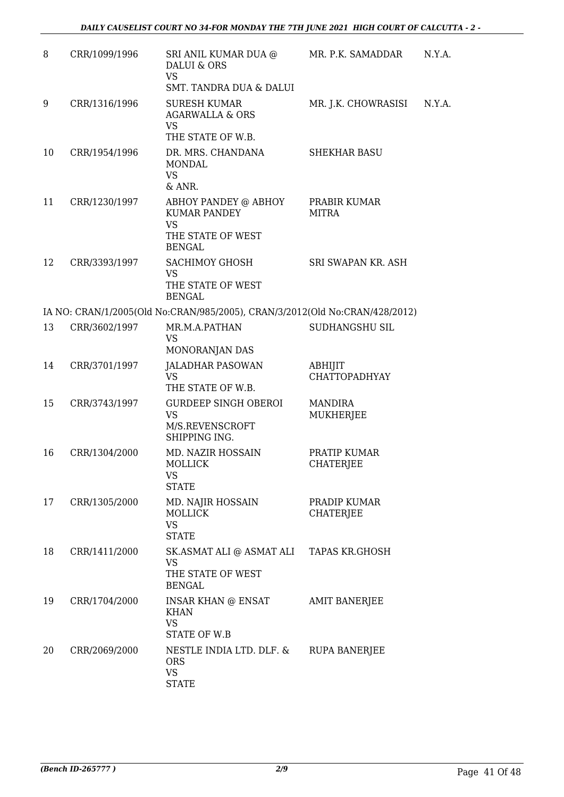| 8  | CRR/1099/1996 | SRI ANIL KUMAR DUA @<br>DALUI & ORS<br><b>VS</b><br>SMT. TANDRA DUA & DALUI                    | MR. P.K. SAMADDAR                      | N.Y.A. |
|----|---------------|------------------------------------------------------------------------------------------------|----------------------------------------|--------|
| 9  | CRR/1316/1996 | <b>SURESH KUMAR</b><br><b>AGARWALLA &amp; ORS</b><br><b>VS</b>                                 | MR. J.K. CHOWRASISI                    | N.Y.A. |
| 10 | CRR/1954/1996 | THE STATE OF W.B.<br>DR. MRS. CHANDANA<br><b>MONDAL</b>                                        | <b>SHEKHAR BASU</b>                    |        |
|    |               | <b>VS</b><br>& ANR.                                                                            |                                        |        |
| 11 | CRR/1230/1997 | ABHOY PANDEY @ ABHOY<br><b>KUMAR PANDEY</b><br><b>VS</b><br>THE STATE OF WEST<br><b>BENGAL</b> | PRABIR KUMAR<br>MITRA                  |        |
| 12 | CRR/3393/1997 | <b>SACHIMOY GHOSH</b><br><b>VS</b><br>THE STATE OF WEST<br><b>BENGAL</b>                       | SRI SWAPAN KR. ASH                     |        |
|    |               | IA NO: CRAN/1/2005(Old No:CRAN/985/2005), CRAN/3/2012(Old No:CRAN/428/2012)                    |                                        |        |
| 13 | CRR/3602/1997 | MR.M.A.PATHAN<br><b>VS</b>                                                                     | SUDHANGSHU SIL                         |        |
|    |               | MONORANJAN DAS                                                                                 |                                        |        |
| 14 | CRR/3701/1997 | <b>JALADHAR PASOWAN</b><br><b>VS</b><br>THE STATE OF W.B.                                      | <b>ABHIJIT</b><br><b>CHATTOPADHYAY</b> |        |
| 15 | CRR/3743/1997 | <b>GURDEEP SINGH OBEROI</b><br><b>VS</b><br>M/S.REVENSCROFT<br>SHIPPING ING.                   | <b>MANDIRA</b><br>MUKHERJEE            |        |
| 16 | CRR/1304/2000 | MD. NAZIR HOSSAIN<br>MOLLICK<br>VS<br><b>STATE</b>                                             | PRATIP KUMAR<br>CHATERJEE              |        |
| 17 | CRR/1305/2000 | MD. NAJIR HOSSAIN<br><b>MOLLICK</b><br><b>VS</b><br><b>STATE</b>                               | PRADIP KUMAR<br><b>CHATERJEE</b>       |        |
| 18 | CRR/1411/2000 | SK.ASMAT ALI @ ASMAT ALI TAPAS KR.GHOSH<br>VS<br>THE STATE OF WEST<br><b>BENGAL</b>            |                                        |        |
| 19 | CRR/1704/2000 | INSAR KHAN @ ENSAT<br><b>KHAN</b><br><b>VS</b>                                                 | AMIT BANERJEE                          |        |
| 20 | CRR/2069/2000 | STATE OF W.B<br>NESTLE INDIA LTD. DLF. &<br><b>ORS</b><br><b>VS</b><br><b>STATE</b>            | <b>RUPA BANERJEE</b>                   |        |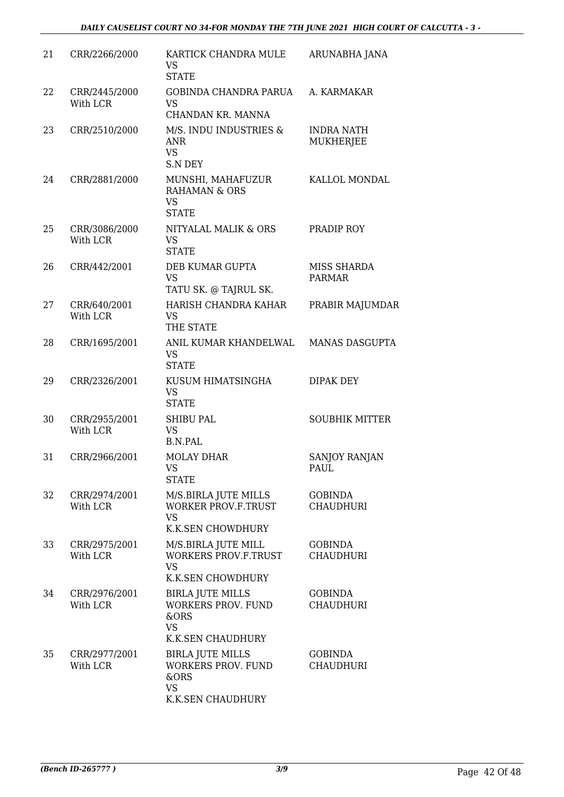| 21 | CRR/2266/2000             | KARTICK CHANDRA MULE<br>VS.<br><b>STATE</b>                                                    | ARUNABHA JANA                      |
|----|---------------------------|------------------------------------------------------------------------------------------------|------------------------------------|
| 22 | CRR/2445/2000<br>With LCR | GOBINDA CHANDRA PARUA<br><b>VS</b><br>CHANDAN KR. MANNA                                        | A. KARMAKAR                        |
| 23 | CRR/2510/2000             | M/S. INDU INDUSTRIES &<br><b>ANR</b><br><b>VS</b><br><b>S.N DEY</b>                            | INDRA NATH<br>MUKHERJEE            |
| 24 | CRR/2881/2000             | MUNSHI, MAHAFUZUR<br><b>RAHAMAN &amp; ORS</b><br><b>VS</b><br><b>STATE</b>                     | KALLOL MONDAL                      |
| 25 | CRR/3086/2000<br>With LCR | NITYALAL MALIK & ORS<br><b>VS</b><br><b>STATE</b>                                              | PRADIP ROY                         |
| 26 | CRR/442/2001              | DEB KUMAR GUPTA<br><b>VS</b><br>TATU SK. @ TAJRUL SK.                                          | MISS SHARDA<br><b>PARMAR</b>       |
| 27 | CRR/640/2001<br>With LCR  | HARISH CHANDRA KAHAR<br><b>VS</b><br>THE STATE                                                 | PRABIR MAJUMDAR                    |
| 28 | CRR/1695/2001             | ANIL KUMAR KHANDELWAL<br><b>VS</b><br><b>STATE</b>                                             | <b>MANAS DASGUPTA</b>              |
| 29 | CRR/2326/2001             | KUSUM HIMATSINGHA<br><b>VS</b><br><b>STATE</b>                                                 | <b>DIPAK DEY</b>                   |
| 30 | CRR/2955/2001<br>With LCR | SHIBU PAL<br><b>VS</b><br><b>B.N.PAL</b>                                                       | <b>SOUBHIK MITTER</b>              |
| 31 | CRR/2966/2001             | <b>MOLAY DHAR</b><br>VS FOR STRING<br><b>STATE</b>                                             | <b>SANJOY RANJAN</b><br>PAUL       |
| 32 | CRR/2974/2001<br>With LCR | M/S.BIRLA JUTE MILLS<br><b>WORKER PROV.F.TRUST</b><br><b>VS</b><br><b>K.K.SEN CHOWDHURY</b>    | <b>GOBINDA</b><br><b>CHAUDHURI</b> |
| 33 | CRR/2975/2001<br>With LCR | M/S.BIRLA JUTE MILL<br><b>WORKERS PROV.F.TRUST</b><br><b>VS</b><br>K.K.SEN CHOWDHURY           | <b>GOBINDA</b><br><b>CHAUDHURI</b> |
| 34 | CRR/2976/2001<br>With LCR | <b>BIRLA JUTE MILLS</b><br><b>WORKERS PROV. FUND</b><br>&ORS<br>VS<br>K.K.SEN CHAUDHURY        | <b>GOBINDA</b><br><b>CHAUDHURI</b> |
| 35 | CRR/2977/2001<br>With LCR | <b>BIRLA JUTE MILLS</b><br><b>WORKERS PROV. FUND</b><br>&ORS<br><b>VS</b><br>K.K.SEN CHAUDHURY | <b>GOBINDA</b><br><b>CHAUDHURI</b> |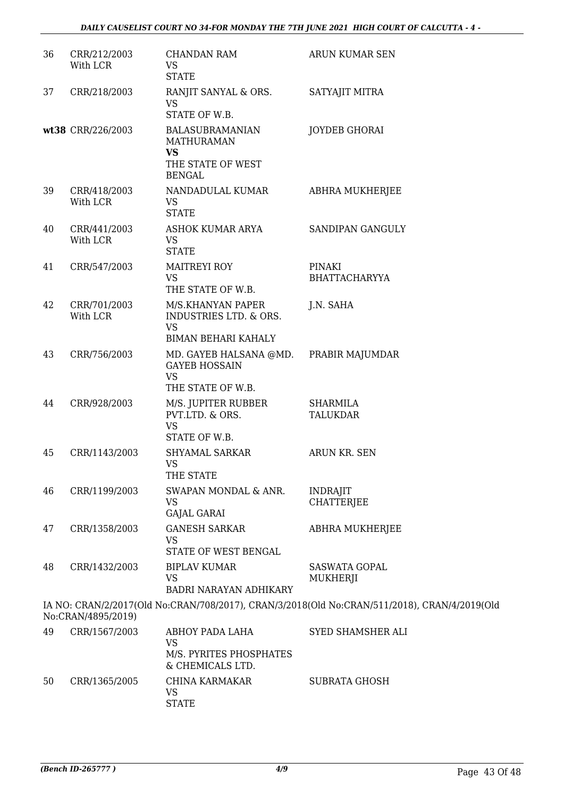| 36 | CRR/212/2003<br>With LCR | <b>CHANDAN RAM</b><br><b>VS</b><br><b>STATE</b>                                                | ARUN KUMAR SEN                                                                               |
|----|--------------------------|------------------------------------------------------------------------------------------------|----------------------------------------------------------------------------------------------|
| 37 | CRR/218/2003             | RANJIT SANYAL & ORS.<br><b>VS</b><br>STATE OF W.B.                                             | SATYAJIT MITRA                                                                               |
|    | wt38 CRR/226/2003        | <b>BALASUBRAMANIAN</b><br><b>MATHURAMAN</b><br><b>VS</b><br>THE STATE OF WEST<br><b>BENGAL</b> | <b>JOYDEB GHORAI</b>                                                                         |
| 39 | CRR/418/2003<br>With LCR | NANDADULAL KUMAR<br><b>VS</b><br><b>STATE</b>                                                  | ABHRA MUKHERJEE                                                                              |
| 40 | CRR/441/2003<br>With LCR | ASHOK KUMAR ARYA<br><b>VS</b><br><b>STATE</b>                                                  | SANDIPAN GANGULY                                                                             |
| 41 | CRR/547/2003             | <b>MAITREYI ROY</b><br><b>VS</b><br>THE STATE OF W.B.                                          | PINAKI<br><b>BHATTACHARYYA</b>                                                               |
| 42 | CRR/701/2003<br>With LCR | M/S.KHANYAN PAPER<br>INDUSTRIES LTD. & ORS.<br><b>VS</b><br><b>BIMAN BEHARI KAHALY</b>         | J.N. SAHA                                                                                    |
| 43 | CRR/756/2003             | MD. GAYEB HALSANA @MD.<br><b>GAYEB HOSSAIN</b><br><b>VS</b><br>THE STATE OF W.B.               | PRABIR MAJUMDAR                                                                              |
| 44 | CRR/928/2003             | M/S. JUPITER RUBBER<br>PVT.LTD. & ORS.<br><b>VS</b><br>STATE OF W.B.                           | SHARMILA<br><b>TALUKDAR</b>                                                                  |
| 45 | CRR/1143/2003            | SHYAMAL SARKAR<br><b>VS</b><br>THE STATE                                                       | ARUN KR. SEN                                                                                 |
| 46 | CRR/1199/2003            | SWAPAN MONDAL & ANR.<br>VS<br><b>GAJAL GARAI</b>                                               | <b>INDRAJIT</b><br><b>CHATTERIEE</b>                                                         |
| 47 | CRR/1358/2003            | <b>GANESH SARKAR</b><br><b>VS</b><br>STATE OF WEST BENGAL                                      | ABHRA MUKHERJEE                                                                              |
| 48 | CRR/1432/2003            | <b>BIPLAV KUMAR</b><br><b>VS</b><br><b>BADRI NARAYAN ADHIKARY</b>                              | <b>SASWATA GOPAL</b><br>MUKHERJI                                                             |
|    | No:CRAN/4895/2019)       |                                                                                                | IA NO: CRAN/2/2017(Old No:CRAN/708/2017), CRAN/3/2018(Old No:CRAN/511/2018), CRAN/4/2019(Old |
| 49 | CRR/1567/2003            | <b>ABHOY PADA LAHA</b><br><b>VS</b><br>M/S. PYRITES PHOSPHATES<br>& CHEMICALS LTD.             | SYED SHAMSHER ALI                                                                            |
| 50 | CRR/1365/2005            | CHINA KARMAKAR<br>VS<br><b>STATE</b>                                                           | <b>SUBRATA GHOSH</b>                                                                         |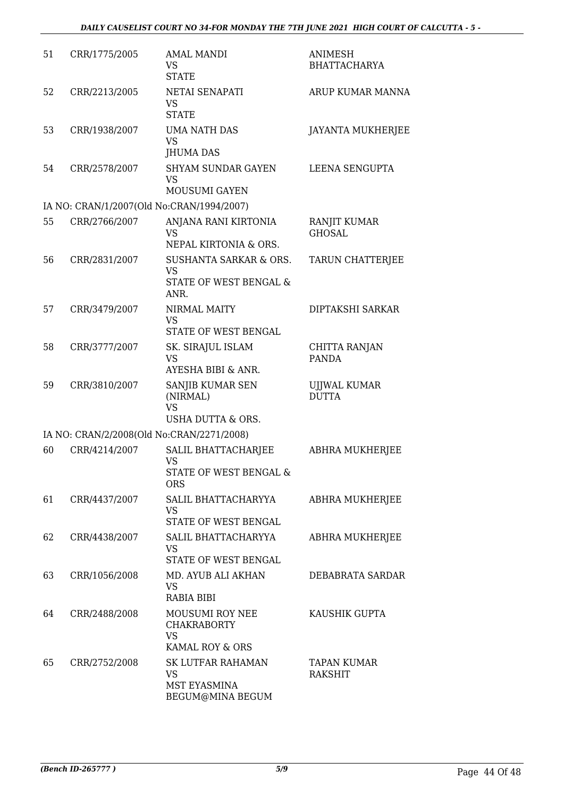| 51 | CRR/1775/2005 | <b>AMAL MANDI</b><br><b>VS</b><br><b>STATE</b>                                   | <b>ANIMESH</b><br><b>BHATTACHARYA</b> |
|----|---------------|----------------------------------------------------------------------------------|---------------------------------------|
| 52 | CRR/2213/2005 | NETAI SENAPATI<br><b>VS</b><br><b>STATE</b>                                      | ARUP KUMAR MANNA                      |
| 53 | CRR/1938/2007 | <b>UMA NATH DAS</b><br><b>VS</b><br><b>JHUMA DAS</b>                             | <b>JAYANTA MUKHERJEE</b>              |
| 54 | CRR/2578/2007 | <b>SHYAM SUNDAR GAYEN</b><br><b>VS</b><br>MOUSUMI GAYEN                          | LEENA SENGUPTA                        |
|    |               | IA NO: CRAN/1/2007(Old No:CRAN/1994/2007)                                        |                                       |
| 55 | CRR/2766/2007 | ANJANA RANI KIRTONIA<br><b>VS</b><br>NEPAL KIRTONIA & ORS.                       | RANJIT KUMAR<br><b>GHOSAL</b>         |
| 56 | CRR/2831/2007 | <b>SUSHANTA SARKAR &amp; ORS.</b><br><b>VS</b><br>STATE OF WEST BENGAL &<br>ANR. | TARUN CHATTERJEE                      |
| 57 | CRR/3479/2007 | NIRMAL MAITY<br><b>VS</b><br>STATE OF WEST BENGAL                                | DIPTAKSHI SARKAR                      |
| 58 | CRR/3777/2007 | SK. SIRAJUL ISLAM<br><b>VS</b><br>AYESHA BIBI & ANR.                             | CHITTA RANJAN<br><b>PANDA</b>         |
| 59 | CRR/3810/2007 | SANJIB KUMAR SEN<br>(NIRMAL)<br><b>VS</b><br>USHA DUTTA & ORS.                   | <b>UJJWAL KUMAR</b><br><b>DUTTA</b>   |
|    |               | IA NO: CRAN/2/2008(Old No:CRAN/2271/2008)                                        |                                       |
| 60 | CRR/4214/2007 | SALIL BHATTACHARJEE<br><b>VS</b><br>STATE OF WEST BENGAL &<br><b>ORS</b>         | ABHRA MUKHERJEE                       |
| 61 | CRR/4437/2007 | SALIL BHATTACHARYYA<br><b>VS</b><br>STATE OF WEST BENGAL                         | ABHRA MUKHERJEE                       |
| 62 | CRR/4438/2007 | SALIL BHATTACHARYYA<br>VS.<br>STATE OF WEST BENGAL                               | ABHRA MUKHERJEE                       |
| 63 | CRR/1056/2008 | MD. AYUB ALI AKHAN<br><b>VS</b><br>RABIA BIBI                                    | DEBABRATA SARDAR                      |
| 64 | CRR/2488/2008 | <b>MOUSUMI ROY NEE</b><br><b>CHAKRABORTY</b><br><b>VS</b><br>KAMAL ROY & ORS     | KAUSHIK GUPTA                         |
| 65 | CRR/2752/2008 | <b>SK LUTFAR RAHAMAN</b><br><b>VS</b><br>MST EYASMINA<br>BEGUM@MINA BEGUM        | TAPAN KUMAR<br><b>RAKSHIT</b>         |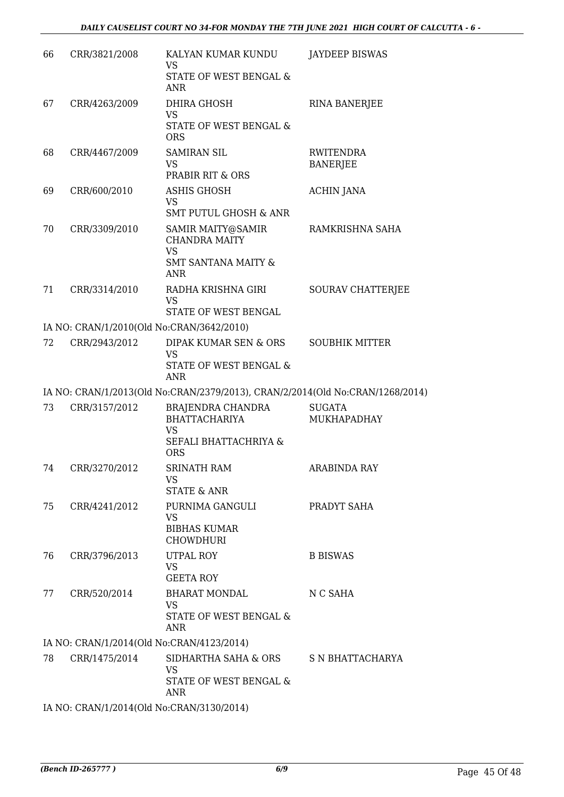| 66 | CRR/3821/2008                             | KALYAN KUMAR KUNDU<br>VS<br>STATE OF WEST BENGAL &<br><b>ANR</b>                                       | <b>JAYDEEP BISWAS</b>               |
|----|-------------------------------------------|--------------------------------------------------------------------------------------------------------|-------------------------------------|
| 67 | CRR/4263/2009                             | DHIRA GHOSH<br><b>VS</b><br>STATE OF WEST BENGAL &<br><b>ORS</b>                                       | <b>RINA BANERJEE</b>                |
| 68 | CRR/4467/2009                             | <b>SAMIRAN SIL</b><br><b>VS</b><br>PRABIR RIT & ORS                                                    | <b>RWITENDRA</b><br><b>BANERJEE</b> |
| 69 | CRR/600/2010                              | <b>ASHIS GHOSH</b><br><b>VS</b><br><b>SMT PUTUL GHOSH &amp; ANR</b>                                    | <b>ACHIN JANA</b>                   |
| 70 | CRR/3309/2010                             | SAMIR MAITY@SAMIR<br><b>CHANDRA MAITY</b><br><b>VS</b><br><b>SMT SANTANA MAITY &amp;</b><br><b>ANR</b> | RAMKRISHNA SAHA                     |
| 71 | CRR/3314/2010                             | RADHA KRISHNA GIRI<br><b>VS</b><br>STATE OF WEST BENGAL                                                | SOURAV CHATTERJEE                   |
|    | IA NO: CRAN/1/2010(Old No:CRAN/3642/2010) |                                                                                                        |                                     |
| 72 | CRR/2943/2012                             | DIPAK KUMAR SEN & ORS<br><b>VS</b><br>STATE OF WEST BENGAL &<br><b>ANR</b>                             | <b>SOUBHIK MITTER</b>               |
|    |                                           | IA NO: CRAN/1/2013(Old No:CRAN/2379/2013), CRAN/2/2014(Old No:CRAN/1268/2014)                          |                                     |
| 73 | CRR/3157/2012                             | BRAJENDRA CHANDRA<br><b>BHATTACHARIYA</b><br><b>VS</b><br>SEFALI BHATTACHRIYA &<br><b>ORS</b>          | <b>SUGATA</b><br>MUKHAPADHAY        |
| 74 | CRR/3270/2012                             | SRINATH RAM<br><b>VS</b><br><b>STATE &amp; ANR</b>                                                     | ARABINDA RAY                        |
| 75 | CRR/4241/2012                             | PURNIMA GANGULI<br><b>VS</b><br><b>BIBHAS KUMAR</b><br><b>CHOWDHURI</b>                                | PRADYT SAHA                         |
| 76 | CRR/3796/2013                             | UTPAL ROY<br>VS<br><b>GEETA ROY</b>                                                                    | <b>B BISWAS</b>                     |
| 77 | CRR/520/2014                              | BHARAT MONDAL<br>VS<br>STATE OF WEST BENGAL &<br>ANR                                                   | N C SAHA                            |
|    | IA NO: CRAN/1/2014(Old No:CRAN/4123/2014) |                                                                                                        |                                     |
| 78 | CRR/1475/2014                             | SIDHARTHA SAHA & ORS S N BHATTACHARYA<br><b>VS</b><br>STATE OF WEST BENGAL &<br>ANR                    |                                     |

IA NO: CRAN/1/2014(Old No:CRAN/3130/2014)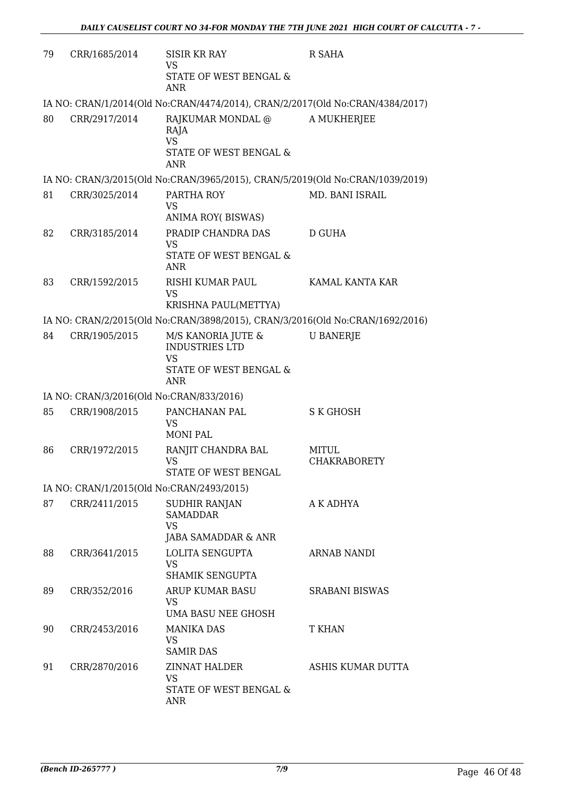| 79 | CRR/1685/2014                             | SISIR KR RAY<br><b>VS</b>                                                     | R SAHA                |
|----|-------------------------------------------|-------------------------------------------------------------------------------|-----------------------|
|    |                                           | STATE OF WEST BENGAL &<br><b>ANR</b>                                          |                       |
|    |                                           | IA NO: CRAN/1/2014(Old No:CRAN/4474/2014), CRAN/2/2017(Old No:CRAN/4384/2017) |                       |
| 80 | CRR/2917/2014                             | RAJKUMAR MONDAL @<br>RAJA<br><b>VS</b>                                        | A MUKHERJEE           |
|    |                                           | <b>STATE OF WEST BENGAL &amp;</b><br><b>ANR</b>                               |                       |
|    |                                           | IA NO: CRAN/3/2015(Old No:CRAN/3965/2015), CRAN/5/2019(Old No:CRAN/1039/2019) |                       |
| 81 | CRR/3025/2014                             | PARTHA ROY<br>VS                                                              | MD. BANI ISRAIL       |
|    |                                           | ANIMA ROY(BISWAS)                                                             |                       |
| 82 | CRR/3185/2014                             | PRADIP CHANDRA DAS<br><b>VS</b>                                               | D GUHA                |
|    |                                           | STATE OF WEST BENGAL &<br><b>ANR</b>                                          |                       |
| 83 | CRR/1592/2015                             | RISHI KUMAR PAUL<br><b>VS</b>                                                 | KAMAL KANTA KAR       |
|    |                                           | KRISHNA PAUL(METTYA)                                                          |                       |
|    |                                           | IA NO: CRAN/2/2015(Old No:CRAN/3898/2015), CRAN/3/2016(Old No:CRAN/1692/2016) |                       |
| 84 | CRR/1905/2015                             | M/S KANORIA JUTE &<br><b>INDUSTRIES LTD</b><br><b>VS</b>                      | <b>U BANERJE</b>      |
|    |                                           | STATE OF WEST BENGAL &<br>ANR                                                 |                       |
|    | IA NO: CRAN/3/2016(Old No:CRAN/833/2016)  |                                                                               |                       |
| 85 | CRR/1908/2015                             | PANCHANAN PAL<br><b>VS</b><br><b>MONI PAL</b>                                 | <b>S K GHOSH</b>      |
| 86 | CRR/1972/2015                             | RANJIT CHANDRA BAL                                                            | <b>MITUL</b>          |
|    |                                           | <b>VS</b><br>STATE OF WEST BENGAL                                             | <b>CHAKRABORETY</b>   |
|    | IA NO: CRAN/1/2015(Old No:CRAN/2493/2015) |                                                                               |                       |
| 87 | CRR/2411/2015                             | SUDHIR RANJAN<br><b>SAMADDAR</b><br><b>VS</b>                                 | A K ADHYA             |
|    |                                           | JABA SAMADDAR & ANR                                                           |                       |
| 88 | CRR/3641/2015                             | <b>LOLITA SENGUPTA</b><br>VS                                                  | <b>ARNAB NANDI</b>    |
|    |                                           | SHAMIK SENGUPTA                                                               |                       |
| 89 | CRR/352/2016                              | ARUP KUMAR BASU<br>VS<br>UMA BASU NEE GHOSH                                   | <b>SRABANI BISWAS</b> |
| 90 | CRR/2453/2016                             | <b>MANIKA DAS</b>                                                             | <b>T KHAN</b>         |
|    |                                           | <b>VS</b><br><b>SAMIR DAS</b>                                                 |                       |
| 91 | CRR/2870/2016                             | ZINNAT HALDER<br>VS                                                           | ASHIS KUMAR DUTTA     |
|    |                                           | STATE OF WEST BENGAL &<br>ANR                                                 |                       |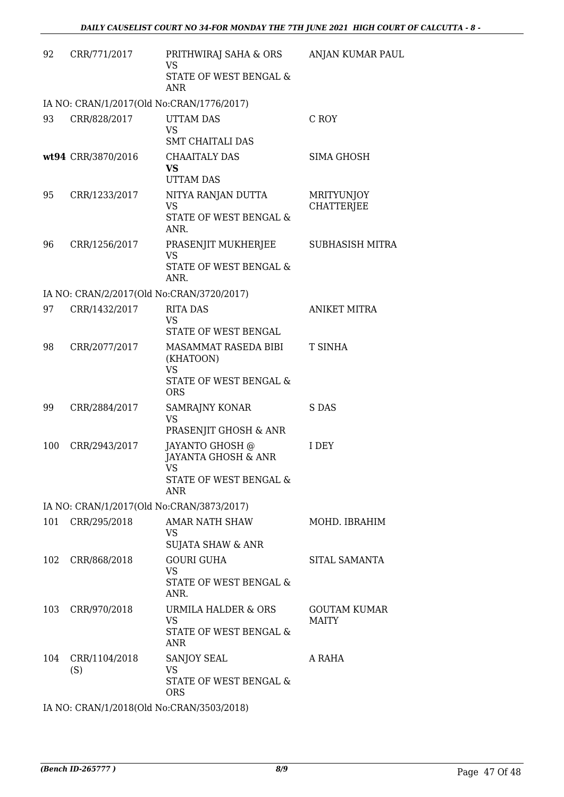| 92  | CRR/771/2017                              | PRITHWIRAJ SAHA & ORS<br><b>VS</b><br>STATE OF WEST BENGAL &<br>ANR                                                                                                                                                                                                                                       | ANJAN KUMAR PAUL                       |
|-----|-------------------------------------------|-----------------------------------------------------------------------------------------------------------------------------------------------------------------------------------------------------------------------------------------------------------------------------------------------------------|----------------------------------------|
|     | IA NO: CRAN/1/2017(Old No:CRAN/1776/2017) |                                                                                                                                                                                                                                                                                                           |                                        |
| 93  | CRR/828/2017                              | <b>UTTAM DAS</b><br><b>VS</b><br><b>SMT CHAITALI DAS</b>                                                                                                                                                                                                                                                  | C ROY                                  |
|     | wt94 CRR/3870/2016                        | <b>CHAAITALY DAS</b><br><b>VS</b><br><b>UTTAM DAS</b>                                                                                                                                                                                                                                                     | <b>SIMA GHOSH</b>                      |
| 95  | CRR/1233/2017                             | NITYA RANJAN DUTTA<br><b>VS</b><br>STATE OF WEST BENGAL &<br>ANR.                                                                                                                                                                                                                                         | <b>MRITYUNJOY</b><br><b>CHATTERJEE</b> |
| 96  | CRR/1256/2017                             | PRASENJIT MUKHERJEE<br><b>VS</b><br>STATE OF WEST BENGAL &<br>ANR.                                                                                                                                                                                                                                        | <b>SUBHASISH MITRA</b>                 |
|     | IA NO: CRAN/2/2017(Old No:CRAN/3720/2017) |                                                                                                                                                                                                                                                                                                           |                                        |
| 97  | CRR/1432/2017                             | <b>RITA DAS</b><br><b>VS</b><br>STATE OF WEST BENGAL                                                                                                                                                                                                                                                      | <b>ANIKET MITRA</b>                    |
| 98  | CRR/2077/2017                             | MASAMMAT RASEDA BIBI<br>(KHATOON)<br><b>VS</b><br>STATE OF WEST BENGAL &<br><b>ORS</b>                                                                                                                                                                                                                    | <b>T SINHA</b>                         |
| 99  | CRR/2884/2017                             | SAMRAJNY KONAR<br><b>VS</b><br>PRASENJIT GHOSH & ANR                                                                                                                                                                                                                                                      | S DAS                                  |
| 100 | CRR/2943/2017                             | JAYANTO GHOSH @<br>JAYANTA GHOSH & ANR<br>VS and the set of the set of the set of the set of the set of the set of the set of the set of the set of the set of the set of the set of the set of the set of the set of the set of the set of the set of the set of the se<br>STATE OF WEST BENGAL &<br>ANR | I DEY                                  |
|     | IA NO: CRAN/1/2017(Old No:CRAN/3873/2017) |                                                                                                                                                                                                                                                                                                           |                                        |
|     | 101 CRR/295/2018                          | AMAR NATH SHAW<br><b>VS</b><br>SUJATA SHAW & ANR                                                                                                                                                                                                                                                          | MOHD. IBRAHIM                          |
| 102 | CRR/868/2018                              | <b>GOURI GUHA</b><br><b>VS</b><br>STATE OF WEST BENGAL &<br>ANR.                                                                                                                                                                                                                                          | SITAL SAMANTA                          |
| 103 | CRR/970/2018                              | URMILA HALDER & ORS<br><b>VS</b><br>STATE OF WEST BENGAL &<br><b>ANR</b>                                                                                                                                                                                                                                  | <b>GOUTAM KUMAR</b><br><b>MAITY</b>    |
| 104 | CRR/1104/2018<br>(S)                      | SANJOY SEAL<br><b>VS</b><br>STATE OF WEST BENGAL &<br><b>ORS</b>                                                                                                                                                                                                                                          | A RAHA                                 |
|     | IA NO: CRAN/1/2018(Old No:CRAN/3503/2018) |                                                                                                                                                                                                                                                                                                           |                                        |

*(Bench ID-265777 ) 8/9* Page 47 Of 48